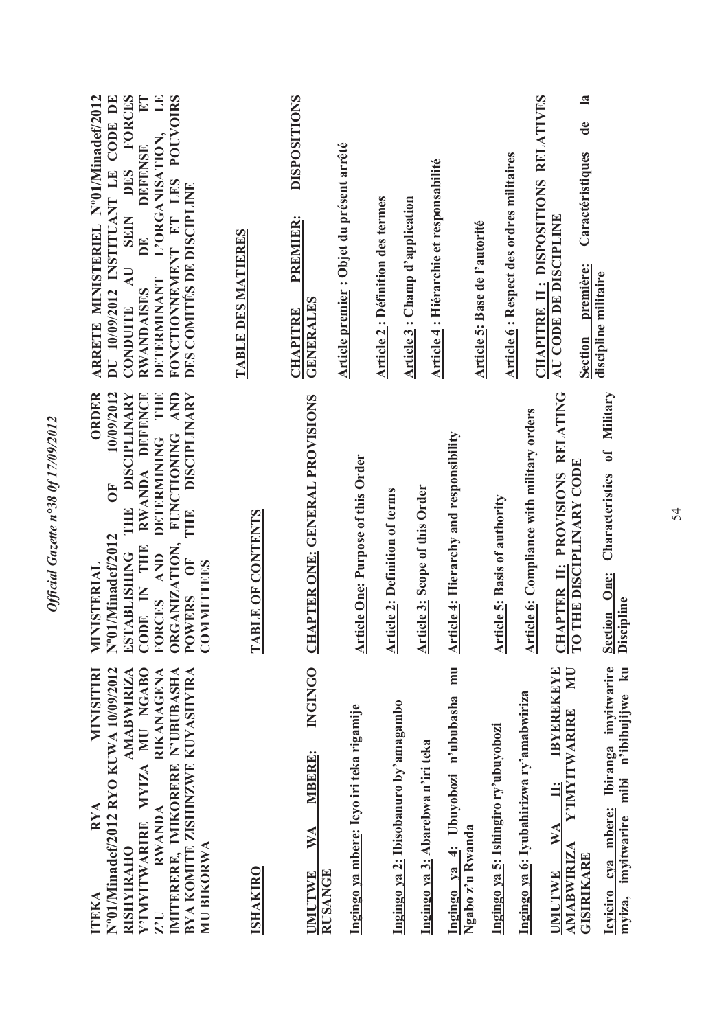| DU 10/09/2012 INSTITUANT LE CODE DE<br>$\mathbf{H}$<br>FONCTIONNEMENT ET LES POUVOIRS<br>ARRETE MINISTERIEL N°01/Minadef/2012<br>FORCES<br>$\Xi$<br>L'ORGANISATION,<br><b>DEFENSE</b><br>DES<br>DES COMITÉS DE DISCIPLINE<br><b>SEIN</b><br>DE<br>$\overline{A}$ U<br>DETERMINANT<br><b>RWANDAISES</b><br>CONDUITE                      | <b>TABLE DES MATIERES</b> | <b>DISPOSITIONS</b><br>PREMIER:<br><b>GENERALES</b><br><b>CHAPITRE</b> | Article premier : Objet du présent arrêté | <b>Article 2: Définition des termes</b><br>Article 3 : Champ d'application | Article 4 : Hiérarchie et responsabilité | Article 5: Base de l'autorité                             | <b>Article 6: Respect des ordres militaires</b> | CHAPITRE II: DISPOSITIONS RELATIVES               | $\mathbf{a}$<br>$\mathbf{d}\mathbf{e}$<br>Caractéristiques<br>AU CODE DE DISCIPLINE<br>Section première:       | discipline militaire                                                                      |
|-----------------------------------------------------------------------------------------------------------------------------------------------------------------------------------------------------------------------------------------------------------------------------------------------------------------------------------------|---------------------------|------------------------------------------------------------------------|-------------------------------------------|----------------------------------------------------------------------------|------------------------------------------|-----------------------------------------------------------|-------------------------------------------------|---------------------------------------------------|----------------------------------------------------------------------------------------------------------------|-------------------------------------------------------------------------------------------|
| AND<br>DETERMINING THE<br><b>ORDER</b><br>10/09/2012<br><b>DISCIPLINARY</b><br>RWANDA DEFENCE<br><b>DISCIPLINARY</b><br><b>FUNCTIONING</b><br>$\overline{O}$<br><b>PHE</b><br>THE<br>N°01/Minadef/2012<br>ORGANIZATION,<br>CODE IN THE<br><b>ESTABLISHING</b><br>FORCES AND<br>POWERS OF<br><b>COMMITTEES</b><br><b>INISTERIAL</b><br>₹ | <b>TABLE OF CONTENTS</b>  | <b>CHAPTER ONE: GENERAL PROVISIONS</b>                                 | <b>Article One: Purpose of this Order</b> | <b>Article 2: Definition of terms</b>                                      | Article 3: Scope of this Order           | <b>Article 4: Hierarchy and responsibility</b>            | Article 5: Basis of authority                   | <b>Article 6: Compliance with military orders</b> | CHAPTER II: PROVISIONS RELATING<br>THE DISCIPLINARY CODE<br>$\mathbf{C}$                                       | Characteristics of Military<br><b>Section One:</b><br><b>Discipline</b>                   |
| N°01/Minadef/2012 RYO KUWA 10/09/2012<br>MYIZA MU NGABO<br>MINISITIRI<br>IMITERERE, IMIKORERE N'UBUBASHA<br><b>AMABWIRIZA</b><br>RIKANAGENA<br>BY A KOMITE ZISHINZWE KUYASHYIRA<br><b>RYA</b><br><b>RWANDA</b><br>Y'IMYITWARIRE<br>MU BIKORWA<br><b>RISHYIRAHO</b><br><b>ITEKA</b><br>$Z^{\prime}U$                                     | <b>ISHAKIRO</b>           | <b>INGINGO</b><br><b>MBERE:</b><br>WA<br>RUSANGE<br><b>UMUTWE</b>      | Ingingo ya mbere: Icyo iri teka rigamije  | Ingingo ya 2: Ibisobanuro by'amagambo                                      | Ingingo ya 3: Abarebwa n'iri teka        | Ingingo ya 4: Ubuyobozi n'ububasha mu<br>Ngabo z'u Rwanda | Ingingo ya 5: Ishingiro ry'ubuyobozi            | Ingingo ya 6: Iyubahirizwa ry'amabwiriza          | MU<br><b>IBYEREKEYE</b><br>Y'IMYITWARIRE<br>Ë<br>WA<br><b>AMABWIRIZA</b><br><b>GISIRIKARE</b><br><b>UMUTWE</b> | Icyiciro cya mbere: Ibiranga imyitwarire<br>mibi n'ibibujijwe ku<br>imyitwarire<br>myiza, |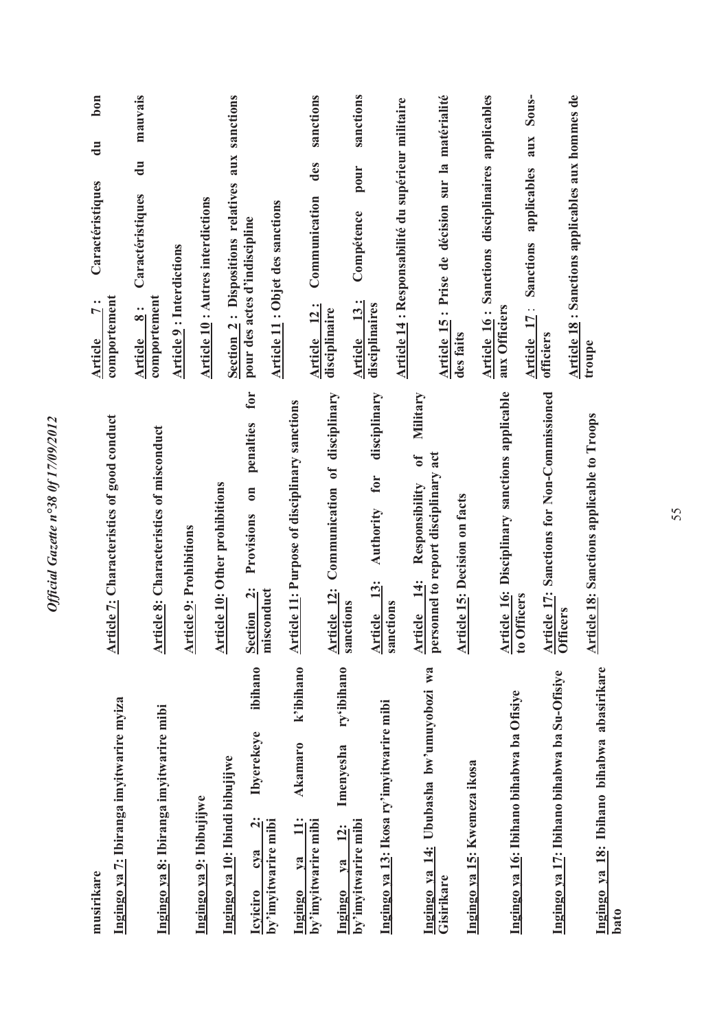| musirikare                                                             |                                                                                                     | $b$ on<br>$\ddot{a}$<br>Caractéristiques<br>$\bullet$<br>$\overline{ }$<br><b>Article</b>         |
|------------------------------------------------------------------------|-----------------------------------------------------------------------------------------------------|---------------------------------------------------------------------------------------------------|
| Ingingo ya 7: Ibiranga imyitwarire myiza                               | <b>Article 7: Characteristics of good conduct</b>                                                   | comportement                                                                                      |
| Ingingo ya 8: Ibiranga imyitwarire mibi                                | <b>Article 8:</b> Characteristics of misconduct                                                     | mauvais<br>$\overline{d}$<br>Caractéristiques<br>comportement<br>$\ddot{\cdot}$<br><b>Article</b> |
|                                                                        | <b>Article 9: Prohibitions</b>                                                                      | <b>Article 9: Interdictions</b>                                                                   |
| Ingingo ya 9: Ibibujijwe                                               |                                                                                                     | <b>Article 10: Autres interdictions</b>                                                           |
| Ingingo ya 10: Ibindi bibujijwe                                        | <b>Article 10: Other prohibitions</b>                                                               | Section 2: Dispositions relatives aux sanctions                                                   |
| ibihano<br><b>Ibyerekeye</b><br>$\ddot{2}$ :<br>cva<br><b>Icviciro</b> | for<br>penalties<br>$\overline{\phantom{0}}$<br>Provisions<br>$\ddot{\mathbf{q}}$<br><b>Section</b> | pour des actes d'indiscipline                                                                     |
| by'imyitwarire mibi                                                    | misconduct                                                                                          | <b>Article 11: Objet des sanctions</b>                                                            |
| k'ibihano<br><b>Akamaro</b><br>$\ddot{=}$<br>$1$<br>Ingingo            | <b>Article 11: Purpose of disciplinary sanctions</b>                                                |                                                                                                   |
| by'imyitwarire mibi                                                    |                                                                                                     | sanctions<br>des<br>Communication<br>Article 12:                                                  |
| ry'ibihano<br>Imenyesha<br>12:<br>$1$<br>Ingingo                       | Communication of disciplinary<br>Article 12:                                                        | disciplinaire                                                                                     |
| by'imyitwarire mibi                                                    | sanctions                                                                                           | sanctions<br>pour<br>Compétence<br>Article 13:                                                    |
| Ingingo ya 13: Ikosa ry'imyitwarire mibi                               | disciplinary<br>for<br>Authority<br>$\frac{3}{2}$<br><b>Article</b>                                 | disciplinaires                                                                                    |
|                                                                        | sanctions                                                                                           | Article 14 : Responsabilité du supérieur militaire                                                |
| Ingingo ya 14: Ububasha bw'umuyobozi wa                                | Military<br>$\mathfrak{h}^0$<br>Responsibility<br>$\ddot{1}$<br><b>Article</b>                      |                                                                                                   |
| Gisirikare                                                             | personnel to report disciplinary act                                                                | Article 15: Prise de décision sur la matérialité                                                  |
| Ingingo ya 15: Kwemeza ikosa                                           | <b>Article 15: Decision on facts</b>                                                                | des faits                                                                                         |
|                                                                        |                                                                                                     | Article 16: Sanctions disciplinaires applicables                                                  |
| Ingingo ya 16: Ibihano bihabwa ba Ofisiye                              | Article 16: Disciplinary sanctions applicable                                                       | aux Officiers                                                                                     |
|                                                                        | to Officers                                                                                         | Sous-<br>aux<br>applicables<br>Sanctions<br>Article 17:                                           |
| Ingingo ya 17: Ibihano bihabwa ba Su-Ofisiye                           | <b>Article 17: Sanctions for Non-Commissioned</b><br>Officers                                       | officiers                                                                                         |
|                                                                        |                                                                                                     | Article 18 : Sanctions applicables aux hommes de                                                  |
| Ingingo ya 18: Ibihano bihabwa abasirikare<br>bato                     | <b>Article 18: Sanctions applicable to Troops</b>                                                   | troupe                                                                                            |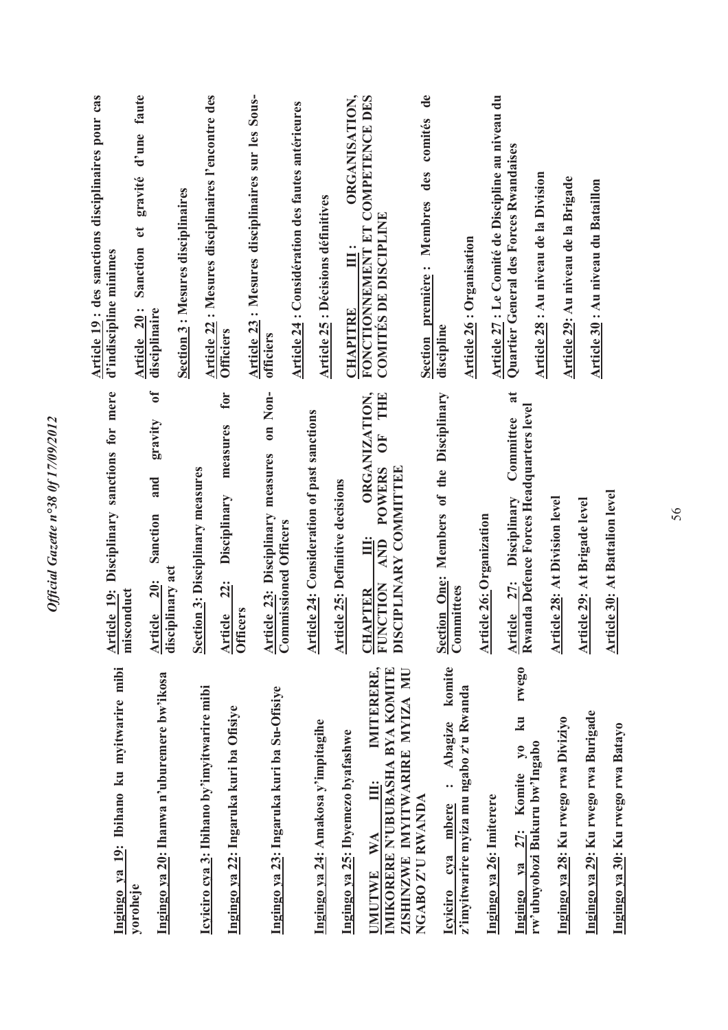| Article 19 : des sanctions disciplinaires pour cas<br>d'indiscipline minimes | d'une faute<br>gravité<br>Sanction et<br>Article 20:<br>disciplinaire<br>$\sigma$<br>gravity<br>and | Section 3: Mesures disciplinaires | Article 22 : Mesures disciplinaires l'encontre des | <b>Officiers</b><br>for<br>measures                             | Article 23: Mesures disciplinaires sur les Sous-<br>officiers<br>on Non- | Article 24 : Considération des fautes antérieures | <b>Article 25: Décisions définitives</b>           | ORGANISATION,<br><b>CHAPITRE</b>        | FONCTIONNEMENT ET COMPETENCE DES<br><b>COMITÉS DE DISCIPLINE</b><br>ORGANIZATION,<br>THE<br>Ğ<br><b>POWERS</b> | $\mathbf{d}\mathbf{e}$<br>comités<br>des<br>Membres<br>Section première : | discipline                                                                                          | <b>Article 26: Organisation</b> | Article 27 : Le Comité de Discipline au niveau du<br>Quartier General des Forces Rwandaises<br>$\overline{\mathbf{a}}$<br>Committee | Article 28 : Au niveau de la Division    | Article 29: Au niveau de la Brigade  | Article 30 : Au niveau du Bataillon  |                                       |
|------------------------------------------------------------------------------|-----------------------------------------------------------------------------------------------------|-----------------------------------|----------------------------------------------------|-----------------------------------------------------------------|--------------------------------------------------------------------------|---------------------------------------------------|----------------------------------------------------|-----------------------------------------|----------------------------------------------------------------------------------------------------------------|---------------------------------------------------------------------------|-----------------------------------------------------------------------------------------------------|---------------------------------|-------------------------------------------------------------------------------------------------------------------------------------|------------------------------------------|--------------------------------------|--------------------------------------|---------------------------------------|
| Article 19: Disciplinary sanctions for mere<br>misconduct                    | Sanction<br>Article 20:<br>disciplinary act                                                         |                                   | Section 3: Disciplinary measures                   | Disciplinary<br><u>22:</u><br><b>Officers</b><br><b>Article</b> | <b>Article 23: Disciplinary measures</b><br>Commissioned Officers        |                                                   | <b>Article 24: Consideration of past sanctions</b> | <b>Article 25: Definitive decisions</b> | SCIPLINARY COMMITTEE<br>Ë<br><b>AND</b><br><b>FUNCTION</b><br><b>HAPTER</b><br>히<br>$\overline{\mathbf{D}}$    |                                                                           | Section One: Members of the Disciplinary<br>Committees                                              | <b>Article 26: Organization</b> | Disciplinary<br>Article 27:                                                                                                         | Rwanda Defence Forces Headquarters level | <b>Article 28: At Division level</b> | <b>Article 29: At Brigade level</b>  | <b>Article 30: At Battalion level</b> |
| Ingingo ya 19: Ibihano ku myitwarire mibi                                    | Ingingo ya 20: Ihanwa n'uburemere bw'ikosa<br>yoroheje                                              |                                   | Icyiciro cya 3: Ibihano by'imyitwarire mibi        | Ingingo ya 22: Ingaruka kuri ba Ofisiye                         | Ingingo ya 23: Ingaruka kuri ba Su-Ofisiye                               |                                                   | Ingingo ya 24: Amakosa y'impitagihe                | Ingingo ya 25: Ibyemezo byafashwe       | IMITERERE,<br>ZISHINZWE IMYITWARIRE MYIZA MU<br>IMIKORERE N'UBUBASHA BYA KOMITE<br>Ì.<br>WA<br><b>JMUTWE</b>   | NGABO Z'U RWANDA                                                          | komite<br>z'imyitwarire myiza mu ngabo z'u Rwanda<br>Abagize<br><br>mbere<br>cya<br><b>Icyiciro</b> |                                 | rwego<br>$\mathbf{z}$<br>$\mathbf{v}_0$<br>Komite<br>Ingingo ya 26: Imiterere<br>27:<br>Ingingo ya                                  | rw'ubuyobozi Bukuru bw'Ingabo            | Ingingo ya 28: Ku rwego rwa Diviziyo | Ingingo ya 29: Ku rwego rwa Burigade |                                       |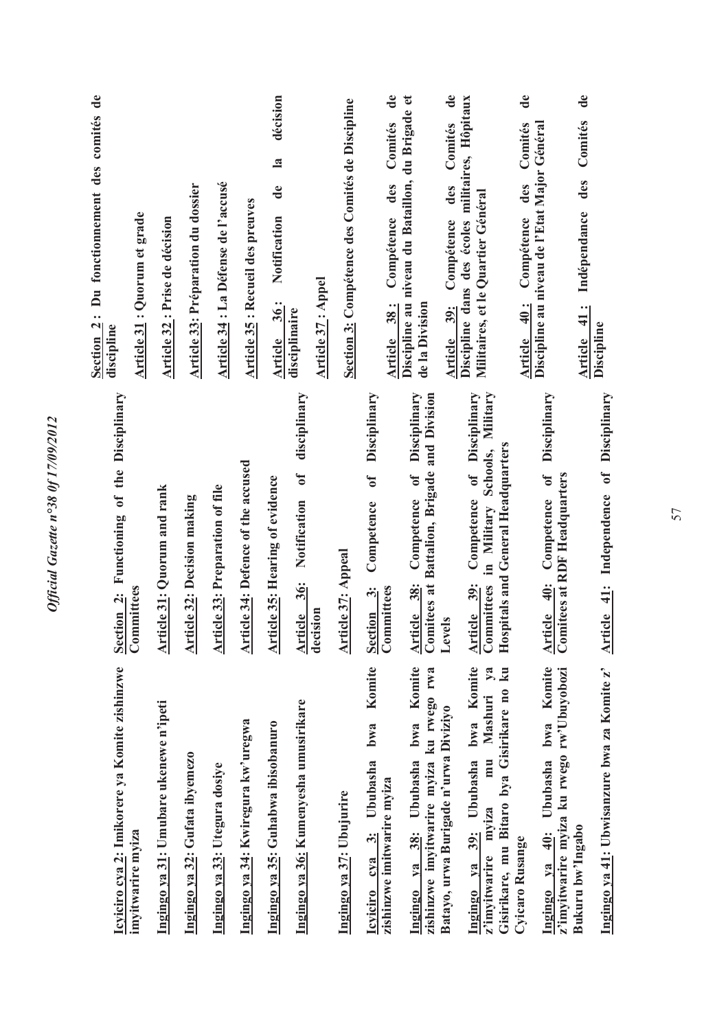| Section 2: Du fonctionnement des comités de<br>discipline | Article 31 : Quorum et grade | Article 32 : Prise de décision         | Article 33: Préparation du dossier | Article 34 : La Défense de l'accusé    | Article 35 : Recueil des preuves   | décision<br>$\mathbf{a}$<br>$\mathbf{d}\mathbf{e}$<br>Notification<br>Article 36: | disciplinaire<br>disciplinary                                 | <b>Article 37: Appel</b> | Section 3: Compétence des Comités de Discipline | Comités<br>des<br>Compétence<br>Article 38:<br>Disciplinary             | Discipline au niveau du Bataillon, du Brigade et<br>de la Division<br>Disciplinary   | Comités<br>des<br>Compétence<br>Article 39: | Discipline dans des écoles militaires, Hôpitaux<br>Militaires, et le Quartier Général                                              | Discipline au niveau de l'Etat Major Général<br>Comités<br>des<br>Compétence<br>Article 40:<br>Disciplinary | des Comités<br>Indépendance<br>Article 41:                    | Discipline                                  |
|-----------------------------------------------------------|------------------------------|----------------------------------------|------------------------------------|----------------------------------------|------------------------------------|-----------------------------------------------------------------------------------|---------------------------------------------------------------|--------------------------|-------------------------------------------------|-------------------------------------------------------------------------|--------------------------------------------------------------------------------------|---------------------------------------------|------------------------------------------------------------------------------------------------------------------------------------|-------------------------------------------------------------------------------------------------------------|---------------------------------------------------------------|---------------------------------------------|
| Section 2: Functioning of the Disciplinary                | Committees                   | Article 31: Quorum and rank            | <b>Article 32: Decision making</b> | <b>Article 33: Preparation of file</b> | Article 34: Defence of the accused | <b>Article 35: Hearing of evidence</b>                                            | $\mathfrak{h}$<br><b>Article 36:</b> Notification<br>decision |                          | <b>Article 37: Appeal</b>                       | $\mathbf{f}$<br>Competence<br>Section 3:<br>Committees                  | Comitees at Battalion, Brigade and Division<br>Competence of<br>Article 38:          | Levels                                      | Competence of Disciplinary<br>Committees in Military Schools, Military<br><b>Hospitals and General Headquarters</b><br>Article 39: | <b>Article 40:</b> Competence of<br>Comitees at RDF Headquarters                                            |                                                               | Independence of Disciplinary<br>Article 41: |
| Icyiciro cya 2: Imikorere ya Komite zishinzwe             | imyitwarire myiza            | Ingingo ya 31: Umubare ukenewe n'ipeti | Ingingo ya 32: Gufata ibyemezo     | Ingingo ya 33: Utegura dosiye          | Ingingo ya 34: Kwiregura kw'uregwa | Ingingo ya 35: Guhabwa ibisobanuro                                                | Ingingo ya 36: Kumenyesha umusirikare                         |                          | Ingingo ya 37: Ubujurire                        | Komite<br>bwa<br>Icyiciro cya 3: Ububasha<br>zishinzwe imitwarire myiza | Komite<br>zishinzwe imyitwarire myiza ku rwego rwa<br>bwa<br>Ingingo ya 38: Ububasha | Batayo, urwa Burigade n'urwa Diviziyo       | Ingingo ya 39: Ububasha bwa Komite<br>mu Mashuri ya<br>Gisirikare, mu Bitaro bya Gisirikare no ku<br>mviza<br>z'imvitwarire        | Komite<br>Ingingo ya 40: Ububasha bwa<br>Cyicaro Rusange                                                    | z'imyitwarire myiza ku rwego rw'Ubuyobozi<br>Bukuru bw'Ingabo | Ingingo ya 41: Ubwisanzure bwa za Komite z' |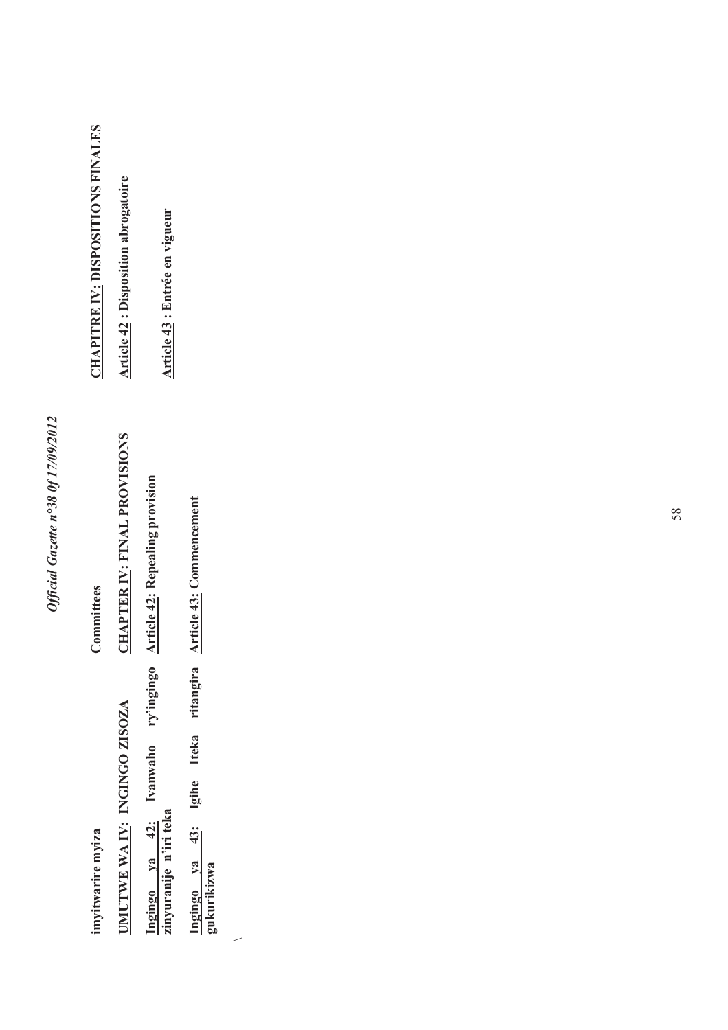| <b>HAPITRE IV: DISPOSITIONS FINALES</b> | <b>Article 42: Disposition abrogatoire</b> | <b>Article 43</b> : Entrée en vigueur                        |                                                    |
|-----------------------------------------|--------------------------------------------|--------------------------------------------------------------|----------------------------------------------------|
| Committees                              | <b>HAPTER IV: FINAL PROVISIONS</b>         | <b>Article 42: Repealing provision</b>                       | <b>Article 43: Commencement</b>                    |
| imyitwarire myiza                       | <b>IMUTWE WAIV: INGINGO ZISOZA</b>         | Ingingo ya 42: Ivanwaho ry'ingingo<br>zinyuranije n'iri teka | ngingo ya 43: Igihe Iteka ritangira<br>zukurikizwa |

 $\overline{\phantom{a}}$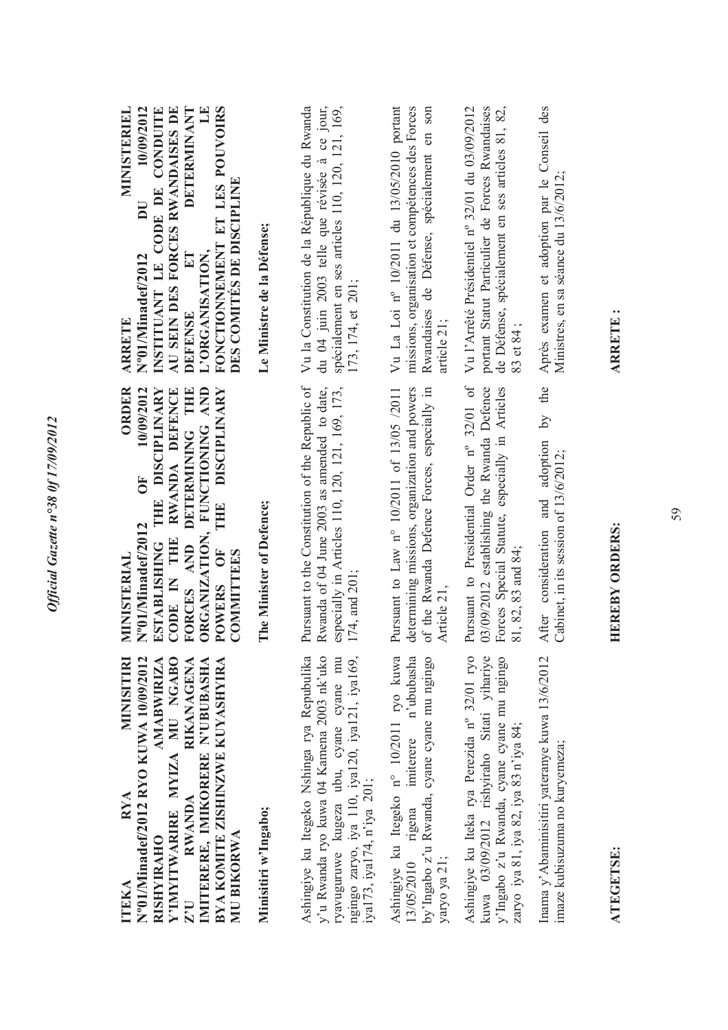| Y'IMYITWARIRE MYIZA MU NGABO<br>N°01/Ninadef/2012 RYO KUWA 10/09/2012<br><b>AMABWIRIZA</b><br>RIKANAGENA<br>BYA KOMITE ZISHINZWE KUYASHYIRA<br>MINISITIRI<br>IMITERERE, IMIKORERE N'UBUBASHA<br>RWANDA<br><b>RYA</b><br>MU BIKORWA<br><b>RISHYIRAHO</b><br>ITEKA<br>ZU | ORDER<br>10/09/2012<br>ORGANIZATION, FUNCTIONING AND<br><b>DISCIPLINARY</b><br>THE DISCIPLINARY<br>RWANDA DEFENCE<br>DETERMINING THE<br><b>FO</b><br>THE<br>N°01/Minadef/2012<br>CODE IN THE<br>FORCES AND<br><b>ESTABLISHING</b><br>UF <sub></sub><br><b>COMMITTEES</b><br>MINISTERIAL<br><b>POWERS</b> | <b>MINISTERIEL</b><br>AU SEIN DES FORCES RWANDAISES DE<br><b>DETERMINANT</b><br>LE<br>10/09/2012<br>INSTITUANT LE CODE DE CONDUITE<br>FONCTIONNEMENT ET LES POUVOIRS<br>DES COMITÉS DE DISCIPLINE<br>DU<br>L'ORGANISATION,<br>ET<br>N°01/Minadef/2012<br><b>DEFENSE</b><br><b>ARRETE</b> |
|------------------------------------------------------------------------------------------------------------------------------------------------------------------------------------------------------------------------------------------------------------------------|----------------------------------------------------------------------------------------------------------------------------------------------------------------------------------------------------------------------------------------------------------------------------------------------------------|------------------------------------------------------------------------------------------------------------------------------------------------------------------------------------------------------------------------------------------------------------------------------------------|
| Minisitiri w'Ingabo;                                                                                                                                                                                                                                                   | The Minister of Defence;                                                                                                                                                                                                                                                                                 | Le Ministre de la Défense;                                                                                                                                                                                                                                                               |
| Ashingiye ku Itegeko Nshinga rya Repubulika<br>y'u Rwanda ryo kuwa 04 Kamena 2003 nk'uko<br>ngingo zaryo, iya 110, iya120, iya121, iya169,<br>ryavuguruwe kugeza ubu, cyane cyane mu<br>iya173, iya174, n'iya 201;                                                     | Pursuant to the Constitution of the Republic of<br>Rwanda of 04 June 2003 as amended to date,<br>especially in Articles 110, 120, 121, 169, 173,<br>174, and 201;                                                                                                                                        | Vu la Constitution de la République du Rwanda<br>du 04 juin 2003 telle que révisée à ce jour,<br>spécialement en ses articles 110, 120, 121, 169,<br>173, 174, et 201;                                                                                                                   |
| 13/05/2010 rigena imiterere n'ububasha<br>Ashingiye ku Itegeko nº 10/2011 ryo kuwa<br>by'Ingabo z'u Rwanda, cyane cyane mu ngingo<br>yaryo ya 21;                                                                                                                      | determining missions, organization and powers<br>of the Rwanda Defence Forces, especially in<br>Pursuant to Law n° 10/2011 of 13/05 /2011<br>Article 21.                                                                                                                                                 | Vu La Loi nº 10/2011 du 13/05/2010 portant<br>missions, organisation et compétences des Forces<br>Rwandaises de Défense, spécialement en son<br>article 21:                                                                                                                              |
| kuwa 03/09/2012 rishyiraho Sitati yihariye<br>Ashingiye ku Iteka rya Perezida nº 32/01 ryo<br>y'lngabo z'u Rwanda, cyane cyane mu ngingo<br>zaryo iya 81, iya 82, iya 83 n'iya 84;                                                                                     | Pursuant to Presidential Order n° 32/01 of<br>03/09/2012 establishing the Rwanda Defence<br>Forces Special Statute, especially in Articles<br>81, 82, 83 and 84;                                                                                                                                         | portant Statut Particulier de Forces Rwandaises<br>de Défense, spécialement en ses articles 81, 82,<br>Vu l'Arrêté Présidentiel nº 32/01 du 03/09/2012<br>83 et 84;                                                                                                                      |
| Inama y'Abaminisitiri yateranye kuwa 13/6/2012<br>imaze kubisuzuma no kuryemeza;                                                                                                                                                                                       | the<br>$\overline{5}$<br>After consideration and adoption<br>Cabinet, in its session of 13/6/2012;                                                                                                                                                                                                       | Après examen et adoption par le Conseil des<br>Ministres, en sa séance du 13/6/2012;                                                                                                                                                                                                     |
| <b>ATEGETSE:</b>                                                                                                                                                                                                                                                       | <b>HEREBY ORDERS:</b>                                                                                                                                                                                                                                                                                    | <b>ARRETE:</b>                                                                                                                                                                                                                                                                           |

Official Gazette n°38 0f 17/09/2012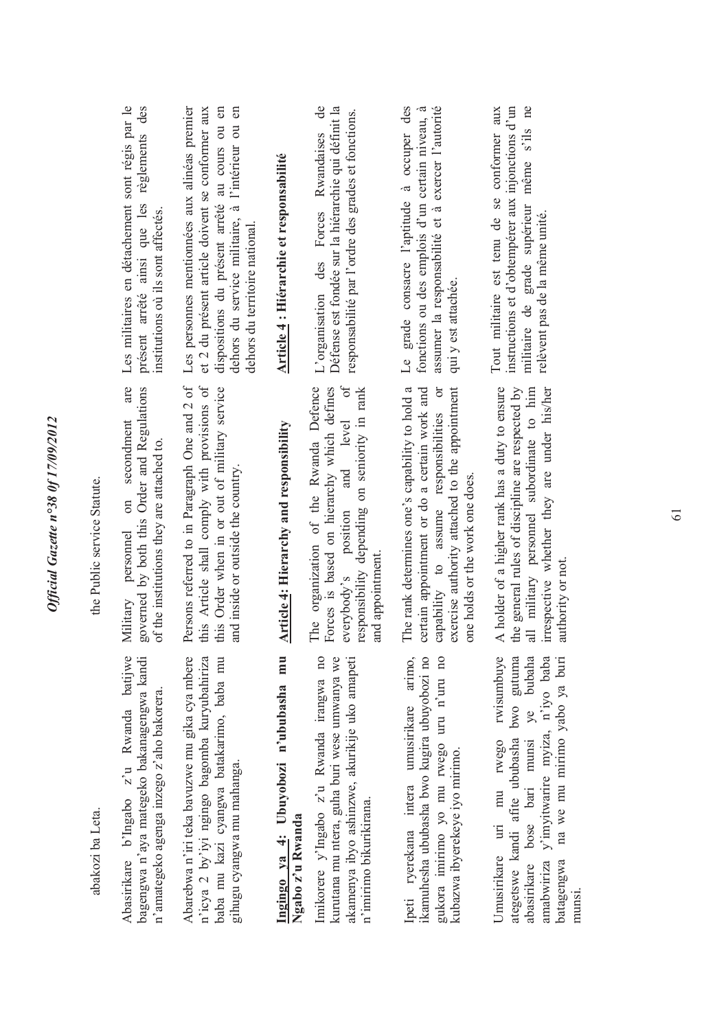| the Public service Statute. | Les militaires en détachement sont régis par le<br>des<br>présent arrêté ainsi que les règlements<br>institutions où ils sont affectés.<br>are<br>governed by both this Order and Regulations<br>on secondment<br>of the institutions they are attached to.<br>personnel | Les personnes mentionnées aux alinéas premier<br>dispositions du présent arrêté au cours ou en<br>dehors du service militaire, à l'intérieur ou en<br>et 2 du présent article doivent se conformer aux<br>dehors du territoire national.<br>Persons referred to in Paragraph One and 2 of<br>this Article shall comply with provisions of<br>this Order when in or out of military service<br>and inside or outside the country. | Article 4 : Hiérarchie et responsabilité<br><b>Article 4: Hierarchy and responsibility</b> | $\mathbf{d}$ e<br>Défense est fondée sur la hiérarchie qui définit la<br>responsabilité par l'ordre des grades et fonctions.<br>L'organisation des Forces Rwandaises<br>The organization of the Rwanda Defence<br>and level of<br>Forces is based on hierarchy which defines<br>responsibility depending on seniority in rank | Le grade consacre l'aptitude à occuper des<br>assumer la responsabilité et à exercer l'autorité<br>fonctions ou des emplois d'un certain niveau, à<br>qui y est attachée.<br>The rank determines one's capability to hold a<br>certain appointment or do a certain work and<br>exercise authority attached to the appointment<br>capability to assume responsibilities or<br>one holds or the work one does. | instructions et d'obtempérer aux injonctions d'un<br>militaire de grade supérieur même s'ils ne<br>Tout militaire est tenu de se conformer aux<br>relèvent pas de la même unité.<br>A holder of a higher rank has a duty to ensure<br>the general rules of discipline are respected by<br>irrespective whether they are under his/her<br>all military personnel subordinate to him |
|-----------------------------|--------------------------------------------------------------------------------------------------------------------------------------------------------------------------------------------------------------------------------------------------------------------------|----------------------------------------------------------------------------------------------------------------------------------------------------------------------------------------------------------------------------------------------------------------------------------------------------------------------------------------------------------------------------------------------------------------------------------|--------------------------------------------------------------------------------------------|-------------------------------------------------------------------------------------------------------------------------------------------------------------------------------------------------------------------------------------------------------------------------------------------------------------------------------|--------------------------------------------------------------------------------------------------------------------------------------------------------------------------------------------------------------------------------------------------------------------------------------------------------------------------------------------------------------------------------------------------------------|------------------------------------------------------------------------------------------------------------------------------------------------------------------------------------------------------------------------------------------------------------------------------------------------------------------------------------------------------------------------------------|
|                             | Military                                                                                                                                                                                                                                                                 |                                                                                                                                                                                                                                                                                                                                                                                                                                  |                                                                                            | everybody's position<br>and appointment.                                                                                                                                                                                                                                                                                      |                                                                                                                                                                                                                                                                                                                                                                                                              | authority or not.                                                                                                                                                                                                                                                                                                                                                                  |
| abakozi ba Leta.            | Abasirikare b'Ingabo z'u Rwanda batijwe<br>bagengwa n'aya mategeko bakanagengwa kandi<br>n'amategeko agenga inzego z'aho bakorera.                                                                                                                                       | n'icya 2 by'iyi ngingo bagomba kuryubahiriza<br>Abarebwa n'iri teka bavuzwe mu gika cya mbere<br>baba mu kazi cyangwa batakarimo, baba mu<br>gihugu cyangwa mu mahanga.                                                                                                                                                                                                                                                          | Ingingo ya 4: Ubuyobozi n'ububasha mu<br>Ngabo z'u Rwanda                                  | Imikorere y'Ingabo z'u Rwanda irangwa no<br>kurutana mu ntera, guha buri wese umwanya we<br>akamenya ibyo ashinzwe, akurikije uko amapeti<br>n'imirimo bikurikirana.                                                                                                                                                          | Ipeti ryerekana intera umusirikare arimo,<br>ikamuhesha ububasha bwo kugira ubuyobozi no<br>gukora imirimo yo mu rwego uru n'uru no<br>kubazwa ibyerekeye iyo mirimo.                                                                                                                                                                                                                                        | rwisumbuye<br>ategetswe kandi afite ububasha bwo gutuma<br>ye bubaha<br>na we mu mirimo yabo ya buri<br>amabwiriza y'imyitwarire myiza, n'iyo baba<br>abasirikare bose bari munsi<br>Umusirikare uri mu rwego<br>batagengwa<br>munsi                                                                                                                                               |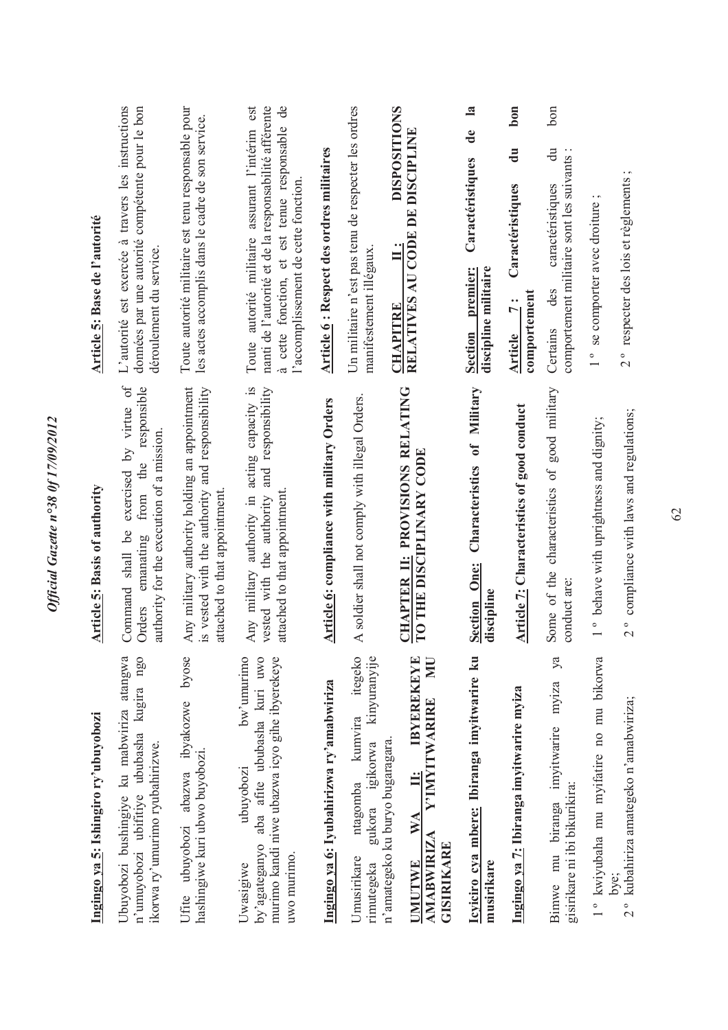| Ingingo ya 5: Ishingiro ry'ubuyobozi                                                                                                                 | <b>Article 5: Basis of authority</b>                                                                                                         | Article 5: Base de l'autorité                                                                                                                                                                    |
|------------------------------------------------------------------------------------------------------------------------------------------------------|----------------------------------------------------------------------------------------------------------------------------------------------|--------------------------------------------------------------------------------------------------------------------------------------------------------------------------------------------------|
| Ubuyobozi bushingiye ku mabwiriza atangwa<br>n'umuyobozi ubifitiye ububasha kugira ngo<br>ikorwa ry'umurimo ryubahirizwe.                            | exercised by virtue of<br>responsible<br>authority for the execution of a mission.<br>from the<br>shall be<br>emanating<br>Command<br>Orders | L'autorité est exercée à travers les instructions<br>données par une autorité compétente pour le bon<br>déroulement du service.                                                                  |
| byose<br>Ufite ubuyobozi abazwa ibyakozwe<br>hashingiwe kuri ubwo buyobozi.                                                                          | Any military authority holding an appointment<br>is vested with the authority and responsibility<br>attached to that appointment             | Toute autorité militaire est tenu responsable pour<br>les actes accomplis dans le cadre de son service.                                                                                          |
| bw'umurimo<br>aba afite ububasha kuri uwo<br>murimo kandi niwe ubazwa icyo gihe ibyerekeye<br>ubuyobozi<br>by agateganyo<br>uwo murimo.<br>Uwasigiwe | Any military authority in acting capacity is<br>vested with the authority and responsibility<br>attached to that appointment                 | Toute autorité militaire assurant l'intérim est<br>nanti de l'autorité et de la responsabilité afférente<br>à cette fonction, et est tenue responsable de<br>l'accomplissement de cette fonction |
| Ingingo ya 6: Iyubahirizwa ry'amabwiriza                                                                                                             | Article 6: compliance with military Orders                                                                                                   | <b>Article 6: Respect des ordres militaires</b>                                                                                                                                                  |
| itegeko<br>kinyuranyije<br>kumvira<br>gukora igikorwa<br>ntagomba<br>Umusirikare<br>rimutegeka                                                       | A soldier shall not comply with illegal Orders.                                                                                              | Un militaire n'est pas tenu de respecter les ordres<br>manifestement illégaux                                                                                                                    |
| NU<br><b>IBYEREKEYE</b><br><b>Y'IMYITWARIRE</b><br>n'amategeko ku buryo bugaragara.<br>$\ddot{H}$<br>WA<br><b>AMABWIRIZA</b><br>GISIRIKARE<br>UMUTWE | CHAPTER II: PROVISIONS RELATING<br>TO THE DISCIPLINARY CODE                                                                                  | <b>DISPOSITIONS</b><br>RELATIVES AU CODE DE DISCIPLINE<br>$\vdots$<br><b>CHAPITRE</b>                                                                                                            |
| Icyiciro cya mbere: Ibiranga imyitwarire ku<br>musirikare                                                                                            | Characteristics of Military<br><b>Section One:</b><br>discipline                                                                             | $\mathbf{a}$<br>de<br>Caractéristiques<br>discipline militaire<br><b>Section</b> premier:                                                                                                        |
| Ingingo ya 7: Ibiranga imyitwarire myiza                                                                                                             | <b>Article 7: Characteristics of good conduct</b>                                                                                            | bon<br>$\overline{d}$ u<br>Caractéristiques<br>comportement<br>$\ddot{7}$ :<br><b>Article</b>                                                                                                    |
| ya<br>myiza<br>Bimwe mu biranga imyitwarire<br>gisirikare ni ibi bikurikira:                                                                         | Some of the characteristics of good military<br>conduct are:                                                                                 | bon<br>$\ddot{a}$<br>comportement militaire sont les suivants :<br>caractéristiques<br>des<br>Certains                                                                                           |
| 1° kwiyubaha mu myifatire no mu bikorwa                                                                                                              | 1 ° behave with uprightness and dignity;                                                                                                     | 1° se comporter avec droiture                                                                                                                                                                    |
| kubahiriza amategeko n'amabwiriza;<br>$\frac{1}{2}$                                                                                                  | 2° compliance with laws and regulations;                                                                                                     | 2° respecter des lois et règlements ;                                                                                                                                                            |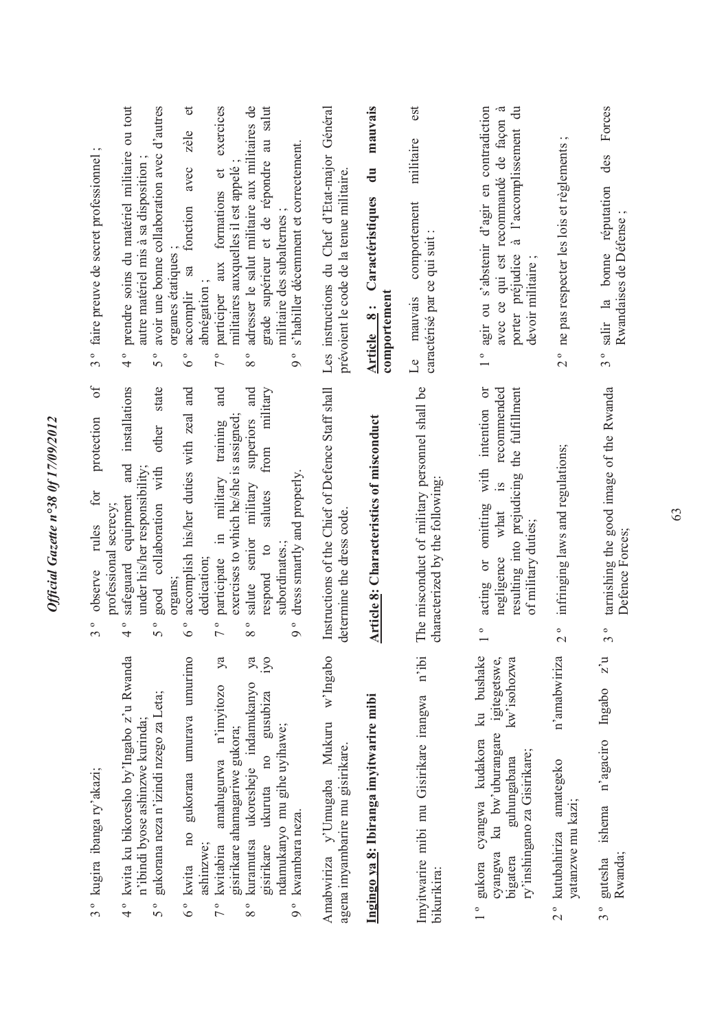| 3° kugira ibanga ry'akazi;                                                                                                                                                                                                    | $\delta$<br>protection<br>for<br>professional secrecy;<br>rules<br>observe<br>$\circ$<br>$\epsilon$                                                                                                                                                      | $\cdot$ $\sim$<br>faire preuve de secret professionnel<br>$3^{\circ}$                                                                                                                                                                     |
|-------------------------------------------------------------------------------------------------------------------------------------------------------------------------------------------------------------------------------|----------------------------------------------------------------------------------------------------------------------------------------------------------------------------------------------------------------------------------------------------------|-------------------------------------------------------------------------------------------------------------------------------------------------------------------------------------------------------------------------------------------|
| kwita ku bikoresho by'Ingabo z'u Rwanda<br>gukorana neza n'izindi nzego za Leta;<br>n'ibindi byose ashinzwe kurinda;<br>$\frac{1}{4}$<br>50                                                                                   | installations<br>state<br>other<br>and<br>with<br>under his/her responsibility;<br>equipment<br>collaboration<br>safeguard<br>good<br>$\circ$<br>$\circ$<br>$\Omega$<br>4                                                                                | prendre soins du matériel militaire ou tout<br>avoir une bonne collaboration avec d'autres<br>autre matériel mis à sa disposition<br>organes étatiques<br>$\circ$<br>$\circ$<br>4<br>$\overline{C}$                                       |
| no gukorana umurava umurimo<br>ashinzwe;<br>6° kwita                                                                                                                                                                          | accomplish his/her duties with zeal and<br>dedication;<br>organs;<br>0<br>$\circ$                                                                                                                                                                        | $\sigma$<br>zèle<br>avec<br>fonction<br>accomplir sa<br>abnégation;<br>۰<br>$\circ$                                                                                                                                                       |
| iyo<br>ya<br>$y$ a<br>ukoresheje indamukanyo<br>amahugurwa n'imyitozo<br>gusubiza<br>gisirikare ahamagariwe gukora;<br>$n_{\rm O}$<br>ukuruta<br>kuramutsa<br>gisirikare<br>kwitabira<br>$\frac{1}{2}$<br>$\circ$<br>$\infty$ | and<br>and<br>military<br>exercises to which he/she is assigned;<br>superiors<br>training<br>from<br>military<br>military<br>salutes<br>$\Xi$<br>salute senior<br>$\mathfrak{a}$<br>participate<br>respond<br>$\circ$<br>۰<br>$\overline{C}$<br>$\infty$ | exercices<br>au salut<br>adresser le salut militaire aux militaires de<br>grade supérieur et de répondre<br>militaires auxquelles il est appelé<br>$\sigma$<br>aux formations<br>participer<br>۰<br>$\circ$<br>$\overline{a}$<br>$\infty$ |
| ndamukanyo mu gihe uyihawe;<br>kwambara neza.<br>9 <sup>°</sup>                                                                                                                                                               | dress smartly and properly.<br>subordinates.;<br>$\circ$<br>$\sigma$                                                                                                                                                                                     | s'habiller décemment et correctement.<br>militaire des subalternes;<br>$\circ$<br>$\circ$                                                                                                                                                 |
| w'Ingabo<br>Mukuru<br>agena imyambarire mu gisirikare.<br>Amabwiriza y'Umugaba                                                                                                                                                | Instructions of the Chief of Defence Staff shall<br>determine the dress code.                                                                                                                                                                            | Les instructions du Chef d'Etat-major Général<br>prévoient le code de la tenue militaire.                                                                                                                                                 |
| Ingingo ya 8: Ibiranga imyitwarire mibi                                                                                                                                                                                       | <b>Article 8: Characteristics of misconduct</b>                                                                                                                                                                                                          | mauvais<br>$\ddot{a}$<br>Caractéristiques<br>comportement<br>Article 8:                                                                                                                                                                   |
| n'ibi<br>Imvitwarire mibi mu Gisirikare irangwa<br>bikurikira:                                                                                                                                                                | The misconduct of military personnel shall be<br>characterized by the following:                                                                                                                                                                         | est<br>militaire<br>comportement<br>caractérisé par ce qui suit<br>mauvais<br>$\overline{\mathsf{L}}$ e                                                                                                                                   |
| ku bushake<br>igitegetswe,<br>kw'isohozwa<br>ku bw'uburangare<br>cyangwa kudakora<br>ry'inshingano za Gisirikare;<br>guhungabana<br>cyangwa<br>bigatera<br>gukora<br>$\frac{1}{\sqrt{2}}$                                     | $\overline{C}$<br>the fulfillment<br>recommended<br>intention<br>with<br>resulting into prejudicing<br>$\overline{15}$<br>omitting<br>what<br>of military duties;<br>negligence<br>acting or<br>$\frac{1}{\sqrt{2}}$                                     | agir ou s'abstenir d'agir en contradiction<br>$\overline{a}$<br>avec ce qui est recommandé de façon à<br>à l'accomplissement<br>porter préjudice<br>devoir militaire;<br>$\circ$                                                          |
| n'amabwiriza<br>amategeko<br>yatanzwe mu kazi;<br>2 <sup>°</sup> kutubahiriza                                                                                                                                                 | infringing laws and regulations;<br>$\frac{1}{2}$                                                                                                                                                                                                        | $\cdot$ $\sim$<br>2° ne pas respecter les lois et règlements                                                                                                                                                                              |
| $z\overline{u}$<br>n'agaciro Ingabo<br>ishema<br>Rwanda;<br>gutesha<br>$3^{\circ}$                                                                                                                                            | tarnishing the good image of the Rwanda<br>Defence Forces;<br>ე<br>ე                                                                                                                                                                                     | Forces<br>des<br>3° salir la bonne réputation<br>Rwandaises de Défense                                                                                                                                                                    |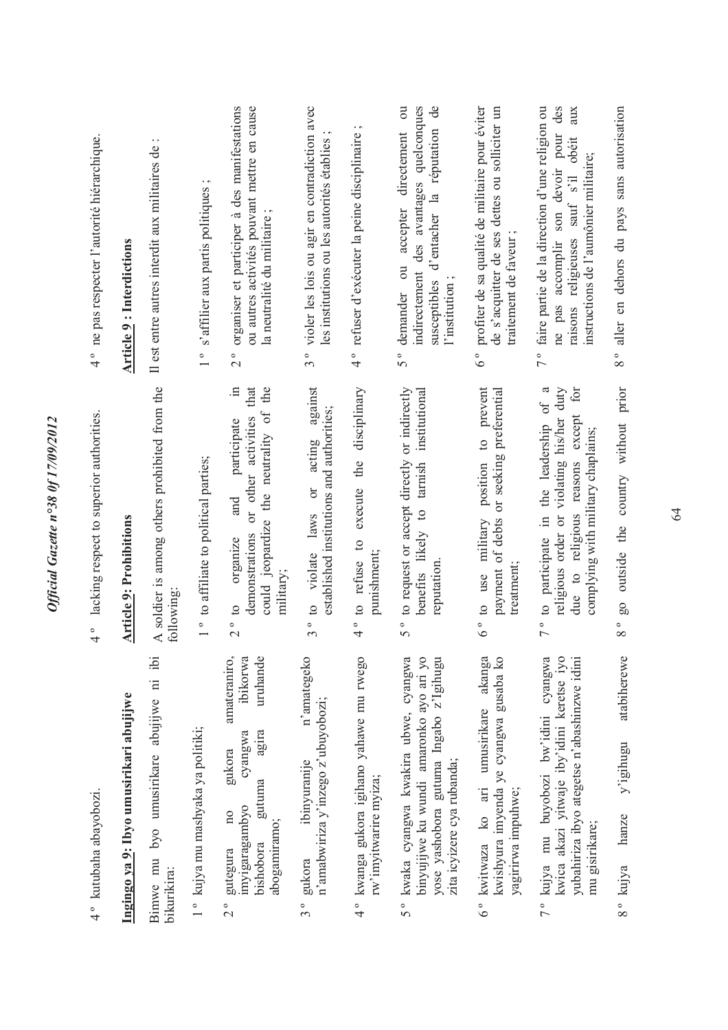| 4° kutubaha abayobozi.                                                                                                                                                              | 4° lacking respect to superior authorities.                                                                                                                             | 4° ne pas respecter l'autorité hiérarchique.                                                                                                                                                 |
|-------------------------------------------------------------------------------------------------------------------------------------------------------------------------------------|-------------------------------------------------------------------------------------------------------------------------------------------------------------------------|----------------------------------------------------------------------------------------------------------------------------------------------------------------------------------------------|
| Ingingo ya 9: Ibyo umusirikari abujijwe                                                                                                                                             | <b>Article 9: Prohibitions</b>                                                                                                                                          | <b>Article 9: Interdictions</b>                                                                                                                                                              |
| $\ddot{p}$<br>Bimwe mu byo umusirikare abujijwe ni<br>bikurikira:                                                                                                                   | A soldier is among others prohibited from the<br>following:                                                                                                             | $\cdot$ .<br>Il est entre autres interdit aux militaires de                                                                                                                                  |
| 1 ° kujya mu mashyaka ya politiki;                                                                                                                                                  | 1 ° to affiliate to political parties;                                                                                                                                  | $\cdot$ $\sim$<br>s'affilier aux partis politiques<br>$\frac{1}{1}$                                                                                                                          |
| amateraniro,<br>ibikorwa<br>uruhande<br>agira<br>cyangwa<br>gukora<br>gutuma<br>imyigaragambyo<br>$\overline{\mathbf{n}}$<br>abogamiramo;<br>bishobora<br>gutegura<br>$\frac{1}{2}$ | the<br>that<br>$\equiv$<br>could jeopardize the neutrality of<br>or other activities<br>participate<br>and<br>demonstrations<br>organize<br>military;<br>$2^{\circ}$ to | organiser et participer à des manifestations<br>ou autres activités pouvant mettre en cause<br>la neutralité du militaire<br>$\frac{1}{2}$                                                   |
| n'amategeko<br>n'amabwiriza y'inzego z'ubuyobozi;<br>ibinyuranije<br>gukora<br>$3^{\circ}$                                                                                          | against<br>established institutions and authorities;<br>acting<br>$\sigma$<br>laws<br>3 ° to violate                                                                    | 3° violer les lois ou agir en contradiction avec<br>les institutions ou les autorités établies                                                                                               |
| 4° kwanga gukora igihano yahawe mu rwego<br>rw'imyitwarire myiza;                                                                                                                   | execute the disciplinary<br>4° to refuse to<br>punishment;                                                                                                              | 4° refuser d'exécuter la peine disciplinaire ;                                                                                                                                               |
| 5° kwaka cyangwa kwakira ubwe, cyangwa<br>binyujijwe ku wundi amaronko ayo ari yo<br>yose yashobora gutuma Ingabo z'Igihugu<br>zita icyizere cya rubanda;                           | 5° to request or accept directly or indirectly<br>institutional<br>tarnish<br>benefits likely to<br>reputation                                                          | directement ou<br>indirectement des avantages quelconques<br>d'entacher la réputation de<br>accepter<br>$\overline{\mathrm{C}}$<br>susceptibles<br>l'institution<br>demander<br>50           |
| akanga<br>kwishyura imyenda ye cyangwa gusaba ko<br>6° kwitwaza ko ari umusirikare<br>yagırırwa impuhwe;                                                                            | prevent<br>or seeking preferential<br>$\overline{c}$<br>position<br>payment of debts<br>military<br>treatment;<br>$6^{\degree}$ to use                                  | profiter de sa qualité de militaire pour éviter<br>de s'acquitter de ses dettes ou solliciter un<br>traitement de faveur<br>$6\degree$                                                       |
| kwica akazi yitwaje iby'idini keretse iyo<br>7° kujya mu buyobozi bw'idini cyangwa<br>yubahiriza ibyo ategetse n'abashinzwe idini<br>mu gisirikare;                                 | 7° to participate in the leadership of a<br>for<br>religious order or violating his/her duty<br>due to religious reasons except<br>complying with military chaplains;   | 7° faire partie de la direction d'une religion ou<br>des<br>aux<br>son devoir pour<br>sauf s'il obéit<br>instructions de l'aumônier militaire;<br>ne pas accomplir<br>religieuses<br>raisons |
| atabiherewe<br>y'igihugu<br>hanze<br>kujya<br>$\frac{1}{8}$                                                                                                                         | go outside the country without prior<br>$\frac{1}{8}$                                                                                                                   | aller en dehors du pays sans autorisation<br>$\frac{8}{8}$                                                                                                                                   |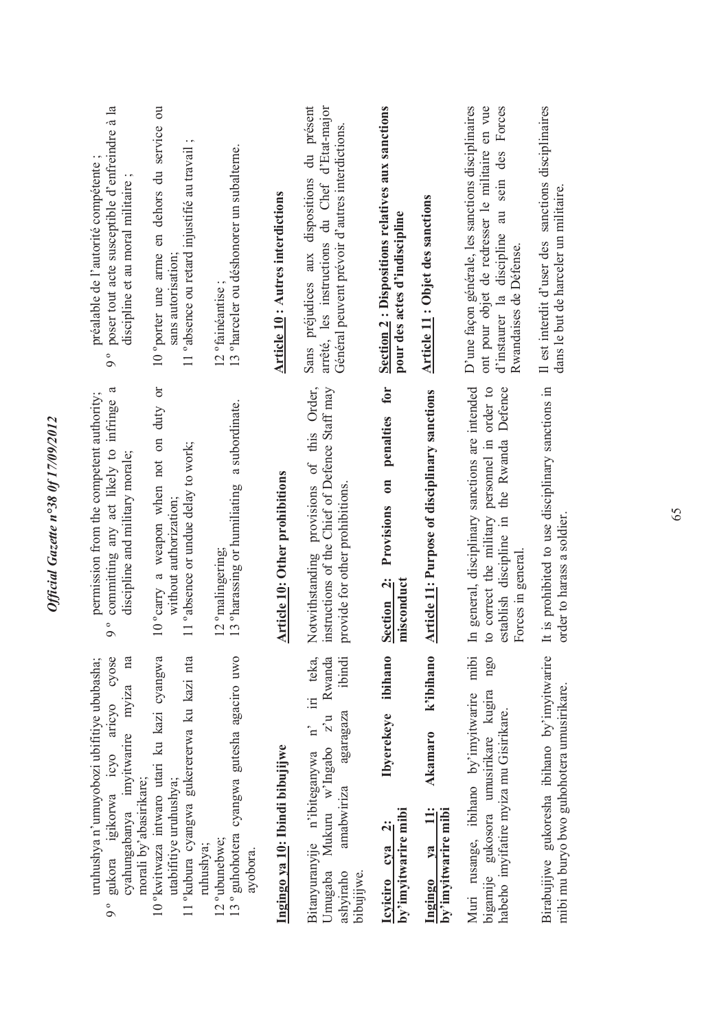| poser tout acte susceptible d'enfreindre à la<br>préalable de l'autorité compétente<br>discipline et au moral militaire;<br>$\circ$<br>$\circ$               | en dehors du service ou<br>$\cdot$ $\sim$<br>11° absence ou retard injustifié au travail<br>10 °porter une arme<br>sans autorisation | 13 ° harceler ou déshonorer un subalterne.<br>12 <sup>°</sup> fainéantise           | <b>Article 10: Autres interdictions</b> | du présent<br>arrêté, les instructions du Chef d'Etat-major<br>Général peuvent prévoir d'autres interdictions.<br>Sans préjudices aux dispositions                             | Section 2 : Dispositions relatives aux sanctions<br>pour des actes d'indiscipline          | <b>Article 11: Objet des sanctions</b>                           | D'une façon générale, les sanctions disciplinaires<br>ont pour objet de redresser le militaire en vue<br>sein des Forces<br>au<br>d'instaurer la discipline<br>Rwandaises de Défense. | Il est interdit d'user des sanctions disciplinaires<br>dans le but de harceler un militaire. |
|--------------------------------------------------------------------------------------------------------------------------------------------------------------|--------------------------------------------------------------------------------------------------------------------------------------|-------------------------------------------------------------------------------------|-----------------------------------------|--------------------------------------------------------------------------------------------------------------------------------------------------------------------------------|--------------------------------------------------------------------------------------------|------------------------------------------------------------------|---------------------------------------------------------------------------------------------------------------------------------------------------------------------------------------|----------------------------------------------------------------------------------------------|
| ß<br>permission from the competent authority;<br>committing any act likely to infringe<br>discipline and military morale;<br>$\circ$<br>$\circ$              | 10° carry a weapon when not on duty or<br>11 ° absence or undue delay to work;<br>without authorization;                             | a subordinate.<br>13 ° harassing or humiliating<br>12 °malingering;                 | <b>Article 10: Other prohibitions</b>   | Notwithstanding provisions of this Order,<br>instructions of the Chief of Defence Staff may<br>provide for other prohibitions                                                  | for<br>penalties<br>$\overline{\phantom{0}}$<br>Provisions<br>Section 2:<br>misconduct     | <b>Article 11: Purpose of disciplinary sanctions</b>             | In general, disciplinary sanctions are intended<br>to correct the military personnel in order to<br>the Rwanda Defence<br>establish discipline in<br>Forces in general.               | It is prohibited to use disciplinary sanctions in<br>order to harass a soldier.              |
| aricyo cyose<br>cyahungabanya imyitwarire myiza na<br>uruhushya n'umuyobozi ubifitiye ububasha;<br>gukora igikorwa icyo<br>morali by'abasirikare;<br>$\circ$ | 10°kwitwaza intwaro utari ku kazi cyangwa<br>11°kubura cyangwa gukerererwa ku kazi nta<br>utabifitiye uruhushya;<br>ruhushya;        | 13° guhohotera cyangwa gutesha agaciro uwo<br>12 <sup>°</sup> ubunebwe;<br>ayobora. | Ingingo ya 10: Ibindi bibujijwe         | iri teka,<br>Rwanda<br>ibindi<br>Mukuru w'Ingabo z'u<br>agaragaza<br>$\mathbf{n}^{\prime}$<br>Bitanyuranyije n'ibiteganywa<br>amabwiriza<br>Umugaba<br>ashyiraho<br>bibujijwe. | ibihano<br><b>Ibyerekeye</b><br>by'imyitwarire mibi<br>$\ddot{\mathbf{c}}$<br>Icyiciro cya | k'ibihano<br><b>Akamaro</b><br>by'imyitwarire mibi<br>Ingingo ya | Muri rusange, ibihano by'imyitwarire mibi<br>ngq<br>bigamije gukosora umusirikare kugira<br>habeho imyifatire myiza mu Gisirikare.                                                    | Birabujijwe gukoresha ibihano by'imyitwarire<br>mibi mu buryo bwo guhohotera umusirikare.    |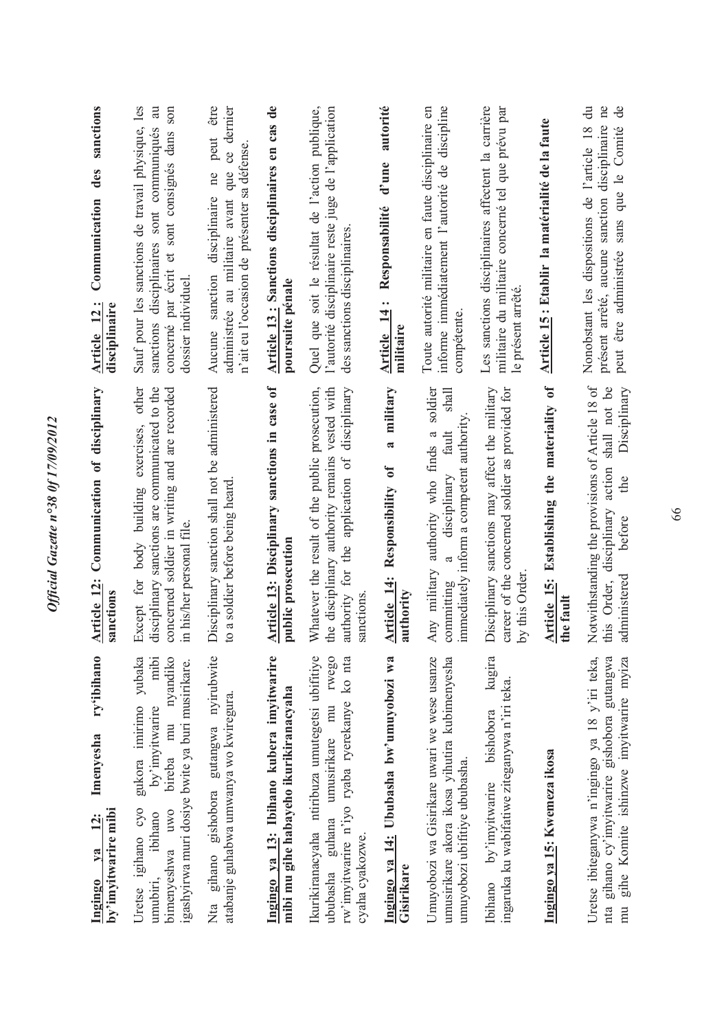| sanctions<br>des<br>Communication<br>Article 12:<br>disciplinaire              | Sauf pour les sanctions de travail physique, les<br>concerné par écrit et sont consignés dans son<br>sanctions disciplinaires sont communiqués au<br>dossier individuel.                  | être<br>administrée au militaire avant que ce dernier<br>peut<br>n'ait eu l'occasion de présenter sa défense.<br>ne<br>disciplinaire<br>sanction<br>Aucune | Article 13: Sanctions disciplinaires en cas de<br>poursuite pénale                  | Quel que soit le résultat de l'action publique,<br>l'autorité disciplinaire reste juge de l'application<br>des sanctions disciplinaires<br>disciplinary       | autorité<br>d'une<br>Responsabilité<br>Article 14:<br>militaire<br>military | informe immédiatement l'autorité de discipline<br>Toute autorité militaire en faute disciplinaire en<br>compétente.<br>soldier<br>shall | Les sanctions disciplinaires affectent la carrière<br>militaire du militaire concerné tel que prévu par<br>le présent arrêté. | Article 15 : Etablir la matérialité de la faute                    | du<br>$\overline{d}$<br>présent arrêté, aucune sanction disciplinaire ne<br>Nonobstant les dispositions de l'article 18<br>peut être administrée sans que le Comité<br>shall not be<br>Disciplinary |
|--------------------------------------------------------------------------------|-------------------------------------------------------------------------------------------------------------------------------------------------------------------------------------------|------------------------------------------------------------------------------------------------------------------------------------------------------------|-------------------------------------------------------------------------------------|---------------------------------------------------------------------------------------------------------------------------------------------------------------|-----------------------------------------------------------------------------|-----------------------------------------------------------------------------------------------------------------------------------------|-------------------------------------------------------------------------------------------------------------------------------|--------------------------------------------------------------------|-----------------------------------------------------------------------------------------------------------------------------------------------------------------------------------------------------|
| Communication of disciplinary<br>Article 12:<br>sanctions                      | disciplinary sanctions are communicated to the<br>Except for body building exercises, other<br>concerned soldier in writing and are recorded<br>in his/her personal file.                 | Disciplinary sanction shall not be administered<br>to a soldier before being heard                                                                         | Article 13: Disciplinary sanctions in case of<br>public prosecution                 | the disciplinary authority remains vested with<br>Whatever the result of the public prosecution,<br>authority for the application of<br>sanctions             | $\overline{\mathbf{a}}$<br>Responsibility of<br>Article 14:<br>authority    | immediately inform a competent authority<br>fault<br>authority who finds<br>disciplinary<br>Any military<br>committing                  | Disciplinary sanctions may affect the military<br>career of the concerned soldier as provided for<br>by this Order            | Establishing the materiality of<br><b>Article 15:</b><br>the fault | Notwithstanding the provisions of Article 18 of<br>action<br>the<br>disciplinary<br>before<br>administered<br>this Order,                                                                           |
| ry'ibihano<br>Imenyesha<br>by'imyitwarire mibi<br><u>12:</u><br>$1$<br>Ingingo | bireba mu nyandiko<br>gukora imirimo yubaka<br>mibi<br>igashyirwa muri dosiye bwite ya buri musirikare.<br>by'imyitwarire<br>Uretse igihano cyo<br>bimenyeshwa uwo<br>ibihano<br>umubiri, | gishobora gutangwa nyirubwite<br>atabanje guhabwa umwanya wo kwiregura.<br>gihano<br>Nta                                                                   | Ingingo ya 13: Ibihano kubera imyitwarire<br>mibi mu gihe habayeho ikurikiranacyaha | rwego<br>Ikurikiranacyaha ntiribuza umutegetsi ubifitiye<br>rw'imyitwarire n'iyo ryaba ryerekanye ko nta<br>ububasha guhana umusirikare mu<br>cyaha cyakozwe. | Ingingo ya 14: Ububasha bw'umuyobozi wa<br>Gisirikare                       | Umuyobozi wa Gisirikare uwari we wese usanze<br>umusirikare akora ikosa yihutira kubimenyesha<br>umuyobozi ubifitiye ububasha.          | kugira<br>ingaruka ku wabifatiwe ziteganywa n'iri teka.<br>bishobora<br>by'imyitwarire<br>Ibihano                             | Ingingo ya 15: Kwemeza ikosa                                       | Uretse ibiteganywa n'ingingo ya 18 y'iri teka,<br>nta gihano cy'imyitwarire gishobora gutangwa<br>gihe Komite ishinzwe imyitwarire myiza<br>mu                                                      |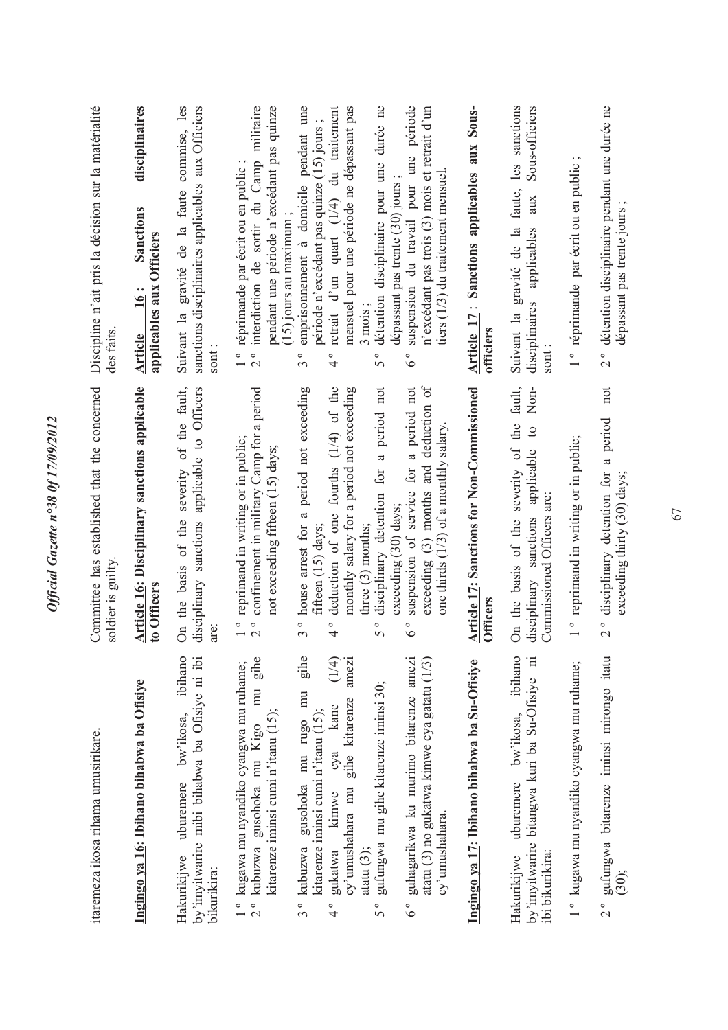| Discipline n'ait pris la décision sur la matérialité              | disciplinaires<br>Sanctions                                  | commise, les<br>sanctions disciplinaires applicables aux Officiers<br>Suivant la gravité de la faute          | interdiction de sortir du Camp militaire<br>pendant une période n'excédant pas quinze<br>réprimande par écrit ou en public<br>$(15)$ jours au maximum;   | emprisonnement à domicile pendant une<br>retrait d'un quart (1/4) du traitement<br>mensuel pour une période ne dépassant pas<br>période n'excédant pas quinze (15) jours               | durée ne<br>détention disciplinaire pour une<br>dépassant pas trente (30) jours                              | période<br>n'excédant pas trois (3) mois et retrait d'un<br>suspension du travail pour une<br>tiers (1/3) du traitement mensuel                                              | Sous-<br>Article 17: Sanctions applicables aux                | sanctions<br>Sous-officiers<br>les<br>faute,<br>aux<br>gravité de la<br>applicables                                                                | 1° réprimande par écrit ou en public          | détention disciplinaire pendant une durée ne                                         |
|-------------------------------------------------------------------|--------------------------------------------------------------|---------------------------------------------------------------------------------------------------------------|----------------------------------------------------------------------------------------------------------------------------------------------------------|----------------------------------------------------------------------------------------------------------------------------------------------------------------------------------------|--------------------------------------------------------------------------------------------------------------|------------------------------------------------------------------------------------------------------------------------------------------------------------------------------|---------------------------------------------------------------|----------------------------------------------------------------------------------------------------------------------------------------------------|-----------------------------------------------|--------------------------------------------------------------------------------------|
| des faits                                                         | applicables aux Officiers<br><b>16:</b><br><b>Article</b>    | sont                                                                                                          | $\frac{1}{1}$<br>$\circ$<br>$\sim$                                                                                                                       | 4<br>$\sim$                                                                                                                                                                            | 3 mois<br>$\circ$<br>$\Omega$                                                                                | $\circ$                                                                                                                                                                      | officiers                                                     | disciplinaires<br>Suivant la<br>sont:                                                                                                              |                                               | $\circ$<br>$\sim$                                                                    |
| Committee has established that the concerned<br>soldier is guilty | Article 16: Disciplinary sanctions applicable<br>to Officers | severity of the fault,<br>applicable to Officers<br>On the basis of the<br>disciplinary sanctions             | confinement in military Camp for a period<br>reprimand in writing or in public;<br>not exceeding fifteen (15) days;<br>$\frac{1}{1}$<br>$\overline{2}$ ° | period not exceeding<br>deduction of one fourths (1/4) of the<br>monthly salary for a period not exceeding<br>house arrest for a<br>fifteen (15) days;<br>$\circ$<br>$\circ$<br>4<br>3 | not<br>period<br>$\varpi$<br>for<br>disciplinary detention<br>three (3) months;<br>$\circ$<br>$\overline{S}$ | exceeding (3) months and deduction of<br>a period not<br>one thirds (1/3) of a monthly salary.<br>for<br>suspension of service<br>exceeding (30) days;<br>$\circ$<br>$\circ$ | <b>Article 17: Sanctions for Non-Commissioned</b><br>Officers | fault,<br>Non-<br>the<br>$\mathfrak{g}$<br>On the basis of the severity of<br>applicable<br>Commissioned Officers are<br>sanctions<br>disciplinary | reprimand in writing or in public;<br>$\circ$ | not<br>a period<br>disciplinary detention for<br>$\circ$<br>$\overline{\mathcal{C}}$ |
| itaremeza ikosa rihama umusirikare.                               | Ingingo ya 16: Ibihano bihabwa ba Ofisiye                    | ibihano<br>by'imyitwarire mibi bihabwa ba Ofisiye ni ibi<br>uburemere bw'ikosa,<br>Hakurikijwe<br>bikurikira: | mu gihe<br>1 ° kugawa mu nyandiko cyangwa mu ruhame;<br>kitarenze iminsi cumi n'itanu $(15)$ ;<br>gusohoka mu Kigo<br>kubuzwa<br>$\frac{1}{2}$           | gihe<br>(1/4)<br>amezi<br>gusohoka mu rugo mu<br>gihe kitarenze<br>cya kane<br>kitarenze iminsi cumi n'itanu $(15)$ ;<br>cy'umushahara mu<br>gukatwa kimwe<br>3° kubuzwa<br>$\degree$  | gufungwa mu gihe kitarenze iminsi 30;<br>atatu $(3)$ ;<br>$5^{\circ}$                                        | guhagarikwa ku murimo bitarenze amezi<br>atatu (3) no gukatwa kimwe cya gatatu (1/3)<br>cy'umushahara.<br>$\delta^{\circ}$                                                   | Ingingo ya 17: Ibihano bihabwa ba Su-Ofisiye                  | ibihano<br>by'imyitwarire bitangwa kuri ba Su-Ofisiye ni<br>uburemere bw'ikosa,<br>ibi bikurikira:<br>Hakurikijwe                                  | 1° kugawa mu nyandiko cyangwa mu ruhame;      | 2° gufungwa bitarenze iminsi mirongo itatu                                           |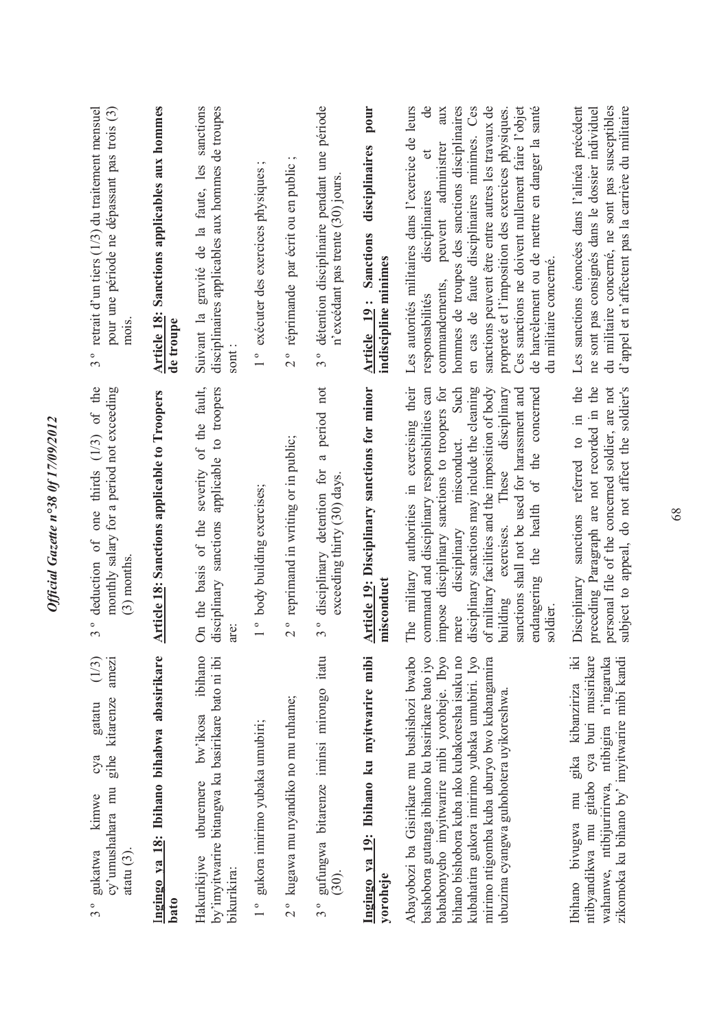| retrait $d'$ un tiers $(1/3)$ du traitement mensuel<br>pour une période ne dépassant pas trois (3)<br>mois<br>$\bullet$<br>$\sim$ | <b>Article 18: Sanctions applicables aux hommes</b><br>de troupe | Suivant la gravité de la faute, les sanctions<br>disciplinaires applicables aux hommes de troupes<br>sont           | $\cdot$ $\sim$<br>1 ° exécuter des exercices physiques | $\ddot{\phantom{0}}$<br>2° réprimande par écrit ou en public | détention disciplinaire pendant une période<br>n'excédant pas trente (30) jours<br>$\circ$<br>$\epsilon$ | pour<br>disciplinaires<br>Sanctions<br>indiscipline minimes<br>Article 19: | Les autorités militaires dans l'exercice de leurs<br>hommes de troupes des sanctions disciplinaires<br>en cas de faute disciplinaires minimes. Ces<br>$\mathsf{d}\mathsf{e}$<br>aux<br>sanctions peuvent être entre autres les travaux de<br>Ces sanctions ne doivent nullement faire l'objet<br>de harcèlement ou de mettre en danger la santé<br>propreté et l'imposition des exercices physiques.<br>peuvent administrer<br>disciplinaires<br>du militaire concerné.<br>commandements,<br>responsabilités | Les sanctions énoncées dans l'alinéa précédent<br>du militaire concerné, ne sont pas susceptibles<br>d'appel et n'affectent pas la carrière du militaire<br>me sont pas consignés dans le dossier individuel |
|-----------------------------------------------------------------------------------------------------------------------------------|------------------------------------------------------------------|---------------------------------------------------------------------------------------------------------------------|--------------------------------------------------------|--------------------------------------------------------------|----------------------------------------------------------------------------------------------------------|----------------------------------------------------------------------------|--------------------------------------------------------------------------------------------------------------------------------------------------------------------------------------------------------------------------------------------------------------------------------------------------------------------------------------------------------------------------------------------------------------------------------------------------------------------------------------------------------------|--------------------------------------------------------------------------------------------------------------------------------------------------------------------------------------------------------------|
| deduction of one thirds $(1/3)$ of the<br>monthly salary for a period not exceeding<br>$(3)$ months<br>$\circ$<br>$\sim$          | <b>Article 18: Sanctions applicable to Troopers</b>              | severity of the fault,<br>applicable to troopers<br>On the basis of the<br>disciplinary sanctions                   | 1° body building exercises;                            | 2° reprimand in writing or in public;                        | period not<br>$\varpi$<br>disciplinary detention for<br>exceeding thirty (30) days.<br>$\circ$<br>3      | Article 19: Disciplinary sanctions for minor<br>misconduct                 | The military authorities in exercising their<br>disciplinary sanctions may include the cleaning<br>of military facilities and the imposition of body<br>disciplinary<br>impose disciplinary sanctions to troopers for<br>Such<br>command and disciplinary responsibilities can<br>sanctions shall not be used for harassment and<br>concerned<br>disciplinary misconduct.<br>of the<br>exercises. These<br>the health<br>endangering<br>building<br>soldier<br>mere                                          | Disciplinary sanctions referred to in the<br>preceding Paragraph are not recorded in the<br>subject to appeal, do not affect the soldier's<br>personal file of the concerned soldier, are not                |
| amezi<br>(1/3)<br>gihe kitarenze<br>gatatu<br>суа<br>cy'umushahara mu<br>kinwe<br>gukatwa<br>atatu $(3)$ .                        | Ingingo ya 18: Ibihano bihabwa abasirikare<br>bato               | ibihano<br>by'imyitwarire bitangwa ku basirikare bato ni ibi<br>bw'ikosa<br>uburemere<br>Hakurikijwe<br>bikurikira: | 1° gukora imirimo yubaka umubiri;                      | 2° kugawa mu nyandiko no mu ruhame;                          | 3° gufungwa bitarenze iminsi mirongo itatu<br>(30).                                                      | Ingingo ya 19: Ibihano ku myitwarire mibi<br>yoroheje                      | Abayobozi ba Gisirikare mu bushishozi bwabo<br>kubahatira gukora imirimo yubaka umubiri. Iyo<br>bashobora gutanga ibihano ku basirikare bato iyo<br>bababonyeho imyitwarire mibi yoroheje. Ibyo<br>bihano bishobora kuba nko kubakoresha isuku no<br>mirimo ntigomba kuba uburyo bwo kubangamira<br>ubuzima cyangwa guhohotera uyikoreshwa.                                                                                                                                                                  | gika kibanziriza iki<br>wahanwe, ntibijuririrwa, ntibigira n'ingaruka<br>ntibyandikwa mu gitabo cya buri musirikare<br>zikomoka ku bihano by' imyitwarire mibi kandi<br>mu<br>Ibihano bivugwa                |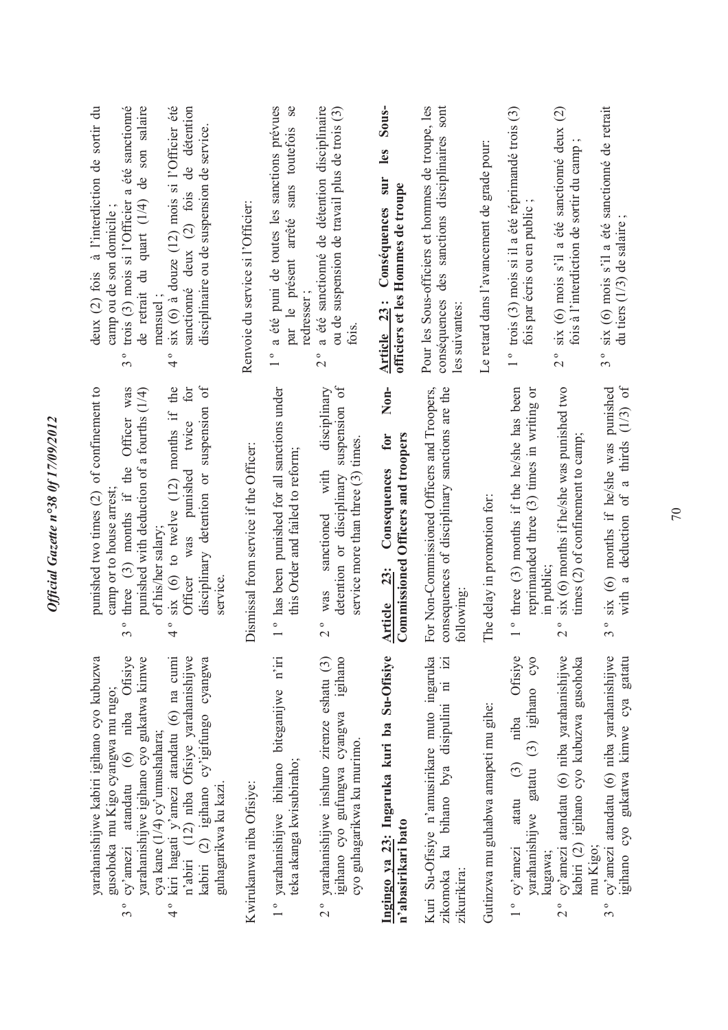| deux (2) fois à l'interdiction de sortir du<br>trois (3) mois si l'Officier a été sanctionné<br>de retrait du quart (1/4) de son salaire<br>six (6) à douze (12) mois si l'Officier été<br>sanctionné deux (2) fois de détention<br>disciplinaire ou de suspension de service.<br>camp ou de son domicile;<br>mensuel;<br>$\circ$<br>$\circ$<br>$\sim$<br>4                                   | Renvoie du service si l'Officier:      | a été puni de toutes les sanctions prévues<br>$s$ e<br>sans toutefois<br>par le présent arrêté<br>redresser; | a été sanctionné de détention disciplinaire<br>ou de suspension de travail plus de trois (3)<br>$\circ$<br>$\sim$                             | Sous-<br>les<br>sur<br>officiers et les Hommes de troupe<br>Article 23: Conséquences       | Pour les Sous-officiers et hommes de troupe, les<br>des sanctions disciplinaires sont<br>conséquences<br>les suivantes: | Le retard dans l'avancement de grade pour: | 1° trois (3) mois si il a été réprimandé trois (3)<br>fois par écris ou en public<br>$\overline{5}$ | six (6) mois s'il a été sanctionné deux (2)<br>fois à l'interdiction de sortir du camp<br>$\frac{1}{2}$           | six (6) mois s'il a été sanctionné de retrait<br>du tiers (1/3) de salaire<br>$\circ$<br>$\infty$                           |
|-----------------------------------------------------------------------------------------------------------------------------------------------------------------------------------------------------------------------------------------------------------------------------------------------------------------------------------------------------------------------------------------------|----------------------------------------|--------------------------------------------------------------------------------------------------------------|-----------------------------------------------------------------------------------------------------------------------------------------------|--------------------------------------------------------------------------------------------|-------------------------------------------------------------------------------------------------------------------------|--------------------------------------------|-----------------------------------------------------------------------------------------------------|-------------------------------------------------------------------------------------------------------------------|-----------------------------------------------------------------------------------------------------------------------------|
| $\delta$<br>punished two times (2) of confinement to<br>three $(3)$ months if the Officer was<br>the<br>punished with deduction of a fourths (1/4)<br>for<br>suspension<br>six (6) to twelve $(12)$ months if<br>twice<br>Officer was punished<br>disciplinary detention or<br>camp or to house arrest;<br>of his/her salary;<br>service.<br>$\circ$<br>$\circ$<br>$\sim$<br>$\overline{ }$   | Dismissal from service if the Officer: | ° has been punished for all sanctions under<br>this Order and failed to reform;                              | detention or disciplinary suspension of<br>disciplinary<br>service more than three $(3)$ times.<br>with<br>sanctioned<br>was<br>$\frac{1}{2}$ | Non-<br>Commissioned Officers and troopers<br>for<br>Consequences<br><b>23:</b><br>Article | For Non-Commissioned Officers and Troopers,<br>consequences of disciplinary sanctions are the<br>following              | The delay in promotion for:                | <sup>o</sup> three (3) months if the he/she has been<br>reprimanded three (3) times in writing      | six (6) months if he/she was punished two<br>times (2) of confinement to camp;<br>in public:<br>$\circ$<br>$\sim$ | deduction of a thirds $(1/3)$ of<br>six (6) months if he/she was punished<br>with a<br>$\circ$<br>$\sim$                    |
| yarahanishijwe kabiri igihano cyo kubuzwa<br>cy'amezi atandatu (6) niba Ofisiye<br>yarahanishijwe igihano cyo gukatwa kimwe<br>kiri hagati y'amezi atandatu (6) na cumi<br>n'abiri (12) niba Ofisiye yarahanishijwe<br>kabiri $(2)$ igihano cy'igifungo cyangwa<br>guhagarikwa ku kazi.<br>gusohoka mu Kigo cyangwa mu rugo;<br>cya kane (1/4) cy'umushahara;<br>$\frac{1}{4}$<br>$3^{\circ}$ | Kwirukanwa niba Ofisiye:               | 1° yarahanishijwe ibihano biteganijwe n'iri<br>teka akanga kwisubiraho;                                      | yarahanishijwe inshuro zirenze eshatu (3)<br>igihano cyo gufungwa cyangwa igihano<br>cyo guhagarikwa ku murimo.<br>$\frac{1}{2}$              | Ingingo ya 23: Ingaruka kuri ba Su-Ofisiye<br>n'abasirikari bato                           | Kuri Su-Ofisiye n'amusirikare muto ingaruka<br>$\overline{121}$<br>zikomoka ku bihano bya disipulini ni<br>zikurikira:  | Gutinzwa mu guhabwa amapeti mu gihe:       | Ofisiye<br>yarahanishijwe gatatu (3) igihano cyo<br>niba<br>atatu $(3)$<br>$1^{\circ}$ cy'amezi     | cy'amezi atandatu (6) niba yarahanishijwe<br>kabiri (2) igihano cyo kubuzwa gusohoka<br>kugawa;<br>$\frac{1}{2}$  | cy'amezi atandatu (6) niba yarahanishijwe<br>gatatu<br>gihano cyo gukatwa kimwe cya<br>mu Kigo;<br>$\circ$<br>$\frac{1}{2}$ |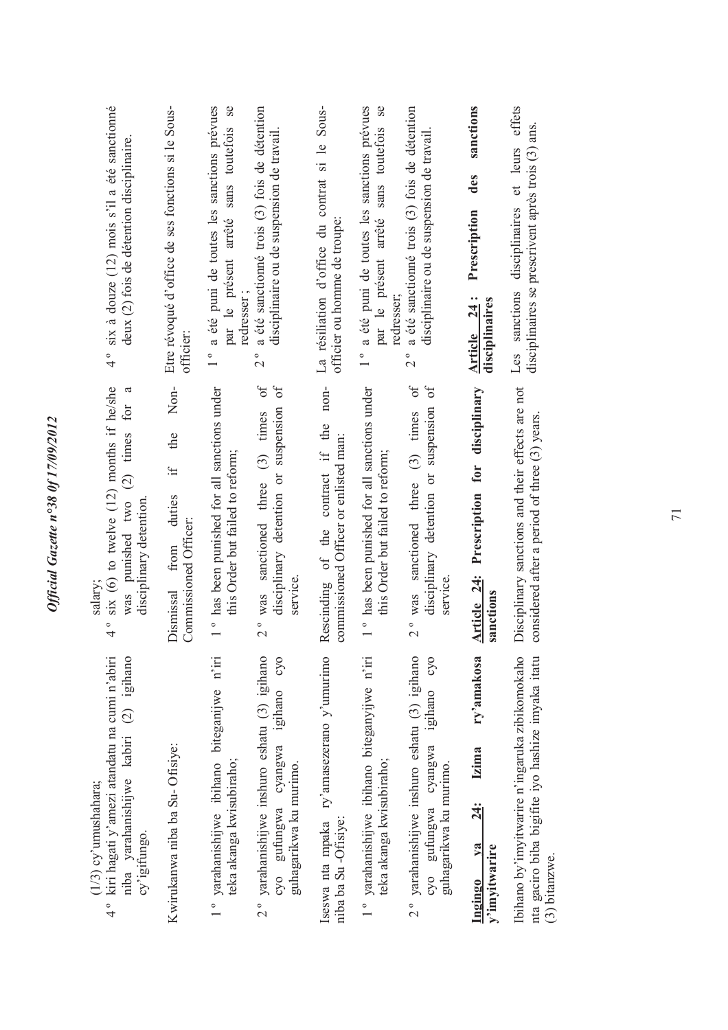|                                                                                                                    |                                                                                                                                                    | $(3)$ bitanzwe.                                                                                                                                 |
|--------------------------------------------------------------------------------------------------------------------|----------------------------------------------------------------------------------------------------------------------------------------------------|-------------------------------------------------------------------------------------------------------------------------------------------------|
| Les sanctions disciplinaires et leurs effets<br>disciplinaires se prescrivent après trois (3) ans.                 | Disciplinary sanctions and their effects are not<br>considered after a period of three (3) years.                                                  | Ibihano by'imyitwarire n'ingaruka zibikomokaho<br>nta gaciro biba bigifite iyo hashize imyaka itatu                                             |
| sanctions<br>des<br>Prescription<br>Article 24:<br>disciplinaires                                                  | disciplinary<br>Prescription for<br>Article 24:<br>sanctions                                                                                       | ry'amakosa<br><b>Izima</b><br>$\frac{34}{3}$<br>$1$<br>y'imyitwarire<br><u>Ingingo</u>                                                          |
| a été sanctionné trois (3) fois de détention<br>disciplinaire ou de suspension de travail.<br>$\circ$<br>$\sim$    | $\sigma$<br>disciplinary detention or suspension of<br>$(3)$ times<br>2° was sanctioned three<br>service                                           | yarahanishijwe inshuro eshatu (3) igihano<br>cyo<br>outerlagi<br>cyangwa<br>guhagarikwa ku murimo.<br>cyo gufungwa<br>$\frac{1}{2}$             |
| ° a été puni de toutes les sanctions prévues<br><b>Se</b><br>sans toutefois<br>par le présent arrêté<br>redresser; | 1° has been punished for all sanctions under<br>this Order but failed to reform;                                                                   | 1° yarahanishijwe ibihano biteganyijwe n'iri<br>teka akanga kwisubiraho;                                                                        |
| La résiliation d'office du contrat si le Sous-<br>officier ou homme de troupe:                                     | non-<br>Rescinding of the contract if the<br>commissioned Officer or enlisted man:                                                                 | Iseswa nta mpaka ry'amasezerano y'umurimo<br>niba ba Su -Ofisiye:                                                                               |
| a été sanctionné trois (3) fois de détention<br>disciplinaire ou de suspension de travail.<br>$\circ$<br>$\sim$    | $\sigma$<br>disciplinary detention or suspension of<br>$2^{\circ}$ was sanctioned three $(3)$ times<br>service                                     | yarahanishijwe inshuro eshatu (3) igihano<br>igihano cyo<br>cyangwa<br>guhagarikwa ku murimo.<br>cyo gufungwa                                   |
| 1° a été puni de toutes les sanctions prévues<br>par le présent arrêté sans toutefois se<br>redresser;             | 1° has been punished for all sanctions under<br>this Order but failed to reform;                                                                   | yarahanishijwe ibihano biteganijwe n'iri<br>teka akanga kwisubiraho;                                                                            |
| Etre révoqué d'office de ses fonctions si le Sous-<br>officier:                                                    | Non-<br>the<br>$\ddot{H}$<br>duties<br>Commissioned Officer:<br>from<br>Dismissal                                                                  | Kwirukanwa niba ba Su-Ofisiye:                                                                                                                  |
| 4° six à douze (12) mois s'il a été sanctionné<br>deux (2) fois de détention disciplinaire.                        | six (6) to twelve $(12)$ months if he/she<br>$\mathfrak{a}$<br>was punished two (2) times for<br>disciplinary detention<br>salary;<br>$\circ$<br>4 | niba yarahanishijwe kabiri (2) igihano<br>kiri hagati y'amezi atandatu na cumi n'abiri<br>(1/3) cy'umushahara;<br>cy'igifungo.<br>$\frac{1}{4}$ |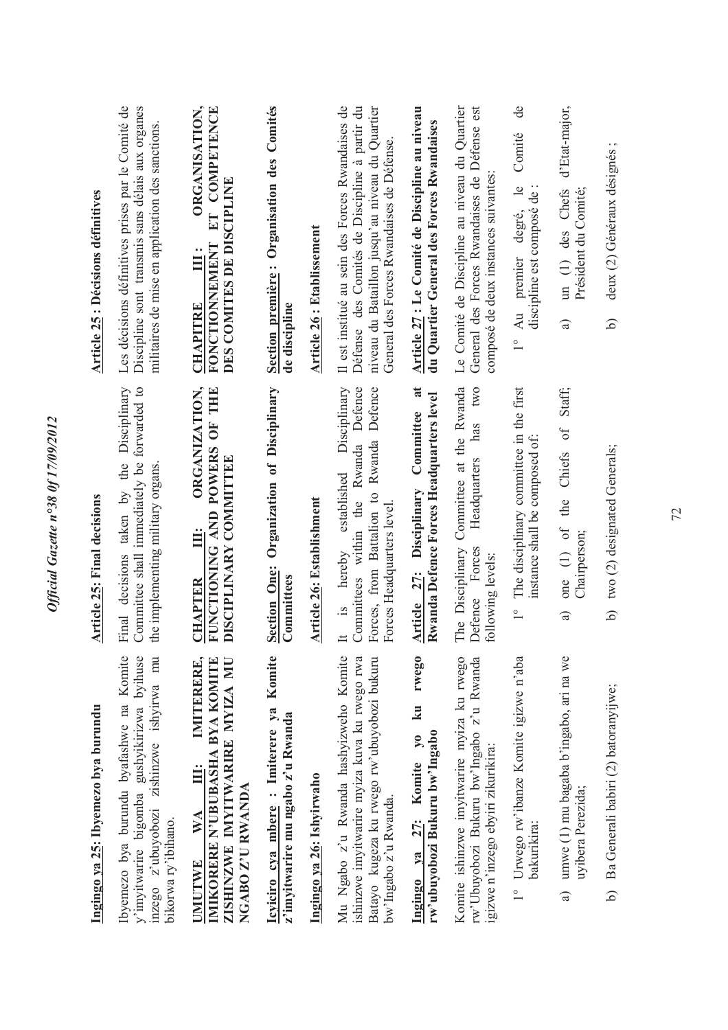| Ingingo ya 25: Ibyemezo bya burundu                                                                                                                              | Article 25: Final decisions                                                                                                                                                         | Article 25 : Décisions définitives                                                                                                                                                                |
|------------------------------------------------------------------------------------------------------------------------------------------------------------------|-------------------------------------------------------------------------------------------------------------------------------------------------------------------------------------|---------------------------------------------------------------------------------------------------------------------------------------------------------------------------------------------------|
| Komite<br>mu<br>y'imyitwarire bigomba gushyikirizwa byihuse<br>inzego z'ubuyobozi zishinzwe ishyirwa<br>Ibyemezo bya burundu byafashwe na<br>bikorwa ry'ibihano. | Disciplinary<br>Committee shall immediately be forwarded to<br>taken by the<br>the implementing military organs<br>Final decisions                                                  | Les décisions définitives prises par le Comité de<br>Discipline sont transmis sans délais aux organes<br>militaires de mise en application des sanctions                                          |
| IMITERERE,<br>IMIKORERE N'UBUBASHA BYA KOMITE<br>ZISHINZWE IMYITWARIRE MYIZA MU<br>III:<br>NGABO Z'U RWANDA<br>WA<br><b>IMUTWE</b>                               | ORGANIZATION,<br>FUNCTIONING AND POWERS OF THE<br>DISCIPLINARY COMMITTEE<br>Ë<br>CHAPTER                                                                                            | ORGANISATION,<br>ET COMPETENCE<br>DES COMITES DE DISCIPLINE<br><b>FONCTIONNEMENT</b><br>$\ddot{=}$<br><b>CHAPITRE</b>                                                                             |
| Komite<br>Icyiciro cya mbere : Imiterere ya<br>z'imyitwarire mu ngabo z'u Rwanda                                                                                 | Organization of Disciplinary<br><b>Section One:</b><br>Committees                                                                                                                   | Section première: Organisation des Comités<br>de discipline                                                                                                                                       |
| Ingingo ya 26: Ishyirwaho                                                                                                                                        | Article 26: Establishment                                                                                                                                                           | Article 26 : Etablissement                                                                                                                                                                        |
| Mu Ngabo z'u Rwanda hashyizweho Komite<br>ishinzwe imyitwarire myiza kuva ku rwego rwa<br>Batayo kugeza ku rwego rw'ubuyobozi bukuru<br>bw'Ingabo z'u Rwanda.    | Disciplinary<br>Committees within the Rwanda Defence<br>Rwanda Defence<br>established<br>Forces, from Battalion to<br>Forces Headquarters level<br>hereby<br>$\tilde{S}$ .<br>$\pm$ | Il est institué au sein des Forces Rwandaises de<br>Défense des Comités de Discipline à partir du<br>niveau du Bataillon jusqu'au niveau du Quartier<br>General des Forces Rwandaises de Défense. |
| rwego<br>k <b>u</b><br>rw'ubuyobozi Bukuru bw'Ingabo<br>$\lambda$ <sup>o</sup><br>Ingingo ya 27: Komite                                                          | $\overline{\mathbf{a}}$<br>Rwanda Defence Forces Headquarters level<br>Committee<br>Article 27: Disciplinary                                                                        | Article 27 : Le Comité de Discipline au niveau<br>du Quartier General des Forces Rwandaises                                                                                                       |
| Komite ishinzwe imyitwarire myiza ku rwego<br>rw'Ubuyobozi Bukuru bw'Ingabo z'u Rwanda<br>igizwe n'inzego ebyiri zikurikira:                                     | Committee at the Rwanda<br>two<br>has<br>Headquarters<br>The Disciplinary<br>Defence Forces<br>following levels:                                                                    | Le Comité de Discipline au niveau du Quartier<br>General des Forces Rwandaises de Défense est<br>composé de deux instances suivantes                                                              |
| 1° Urwego rw'ibanze Komite igizwe n'aba<br>bakurikira:                                                                                                           | The disciplinary committee in the first<br>instance shall be composed of:<br>$\frac{1}{1}$                                                                                          | de<br>Comité<br>$\frac{1}{2}$<br>discipline est composé de<br>degré,<br>premier<br>Au<br>$\frac{1}{1}$                                                                                            |
| umwe (1) mu bagaba b'ingabo, ari na we<br>uyibera Perezida;<br>$\widehat{a}$                                                                                     | Staff;<br>one (1) of the Chiefs of<br>Chairperson;<br>$\widehat{a}$                                                                                                                 | d'Etat-major,<br>Président du Comité;<br>un (1) des Chefs<br>$\widehat{a}$                                                                                                                        |
| Ba Generali babiri (2) batoranyijwe;<br>6                                                                                                                        | b) two (2) designated Generals;                                                                                                                                                     | deux (2) Généraux désignés;<br>6                                                                                                                                                                  |
|                                                                                                                                                                  |                                                                                                                                                                                     |                                                                                                                                                                                                   |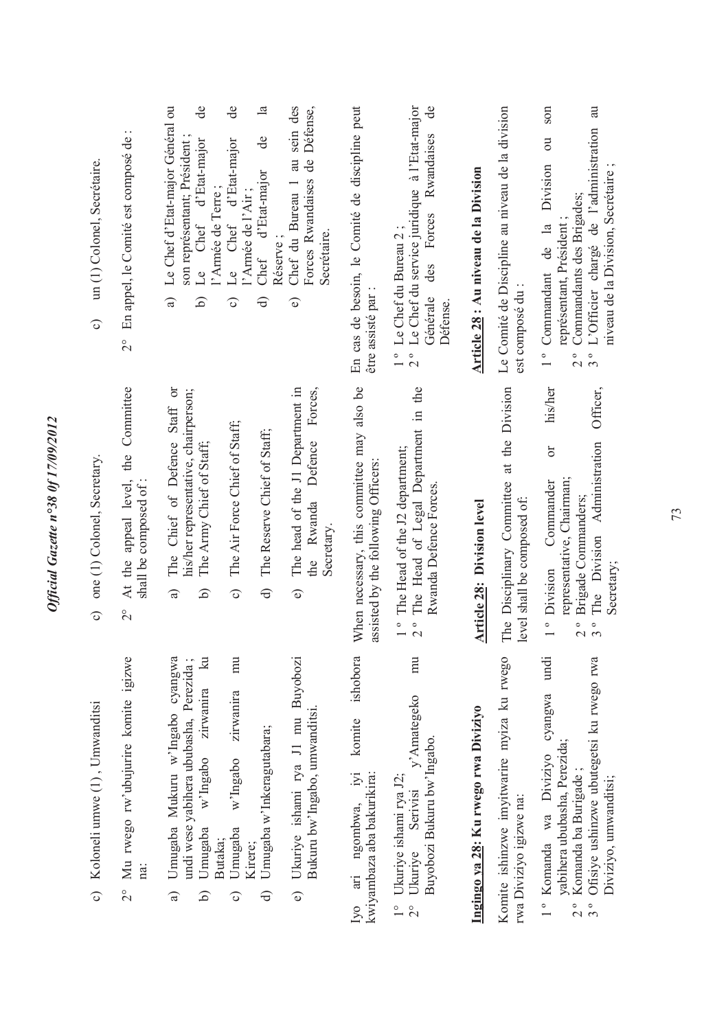| c) Koloneli umwe $(1)$ , Umwanditsi                                                                                                                                                                               | c) one (1) Colonel, Secretary.                                                                                                                                                       | un (1) Colonel, Secrétaire.<br>$\hat{\mathbf{o}}$                                                                                                                                                                                               |
|-------------------------------------------------------------------------------------------------------------------------------------------------------------------------------------------------------------------|--------------------------------------------------------------------------------------------------------------------------------------------------------------------------------------|-------------------------------------------------------------------------------------------------------------------------------------------------------------------------------------------------------------------------------------------------|
| Mu rwego rw'ubujurire komite igizwe<br>na:<br>$\frac{1}{2}$                                                                                                                                                       | At the appeal level, the Committee<br>shall be composed of:<br>$\frac{1}{2}$                                                                                                         | En appel, le Comité est composé de :<br>$\frac{1}{2}$                                                                                                                                                                                           |
| $\mathbb{Z}$<br>Umugaba Mukuru w'Ingabo cyangwa<br>undi wese yabihera ububasha, Perezida;<br>zirwanira<br>w'Ingabo<br>Umugaba<br>a<br>ه                                                                           | The Chief of Defence Staff or<br>his/her representative, chairperson;<br>The Army Chief of Staff;<br>তি<br>$\widehat{a}$                                                             | Le Chef d'Etat-major Général ou<br>de<br>Le Chef d'Etat-major<br>son représentant; Président<br>l'Armée de Terre;<br>$\widehat{a}$<br>তি                                                                                                        |
| mu<br>zirwanira<br>w'Ingabo<br>Umugaba<br>Butaka;<br>Kirere;<br>ි                                                                                                                                                 | The Air Force Chief of Staff;<br>The Reserve Chief of Staff;<br>$\mathcal{O}$                                                                                                        | ප්<br>$\mathbf{a}$<br>de<br>Le Chef d'Etat-major<br>Chef d'Etat-major<br>l'Armée de l'Air;<br>$\ominus$<br>$\widehat{\circ}$                                                                                                                    |
| Ukuriye ishami rya J1 mu Buyobozi<br>Bukuru bw'Ingabo, umwanditsi.<br>Umugaba w'Inkeragutabara;<br>$\widehat{\mathbf{e}}$<br>ਰਿ                                                                                   | Forces,<br>The head of the J1 Department in<br>the Rwanda Defence<br>Secretary.<br>$\widehat{\mathsf{d}}$<br>$\widehat{\mathbf{e}}$                                                  | Chef du Bureau 1 au sein des<br>Forces Rwandaises de Défense,<br>Secrétaire.<br>Réserve;<br>$\widehat{\mathbf{e}}$                                                                                                                              |
| ishobora<br>komite<br>$\ddot{S}$<br>kwiyambaza aba bakurikira:<br>ari ngombwa,<br>$\overline{N}$                                                                                                                  | When necessary, this committee may also be<br>assisted by the following Officers:                                                                                                    | En cas de besoin, le Comité de discipline peut<br>être assisté par                                                                                                                                                                              |
| mu<br>y'Amategeko<br>Buyobozi Bukuru bw'Ingabo.<br>Ukuriye ishami rya J2;<br>Serivisi<br>Ukuriye<br>$\frac{1}{1}$<br>$\frac{1}{2}$                                                                                | 2° The Head of Legal Department in the<br>1° The Head of the J2 department;<br>Rwanda Defence Forces.                                                                                | Le Chef du service juridique à l'Etat-major<br>$\mathbf{d}\mathbf{e}$<br>Rwandaises<br>des Forces<br>1° Le Chef du Bureau 2;<br>Générale<br>Défense.<br>$\frac{1}{2}$                                                                           |
| Ingingo ya 28: Ku rwego rwa Diviziyo                                                                                                                                                                              | <b>Article 28: Division level</b>                                                                                                                                                    | Article 28 : Au niveau de la Division                                                                                                                                                                                                           |
| Komite ishinzwe imyitwarire myiza ku rwego<br>rwa Diviziyo igizwe na:                                                                                                                                             | The Disciplinary Committee at the Division<br>level shall be composed of:                                                                                                            | Le Comité de Discipline au niveau de la division<br>est composé du                                                                                                                                                                              |
| Ofisiye ushinzwe ubutegetsi ku rwego rwa<br>cyangwa undi<br>yabihera ububasha, Perezida;<br>Komanda wa Diviziyo<br>Komanda ba Burigade;<br>Diviziyo, umwandıtsı;<br>$\frac{1}{1}$<br>$\frac{1}{2}$<br>$3^{\circ}$ | his/her<br>Officer,<br>The Division Administration<br>br<br>representative, Chairman;<br>Commander<br>Brigade Commanders;<br>Secretary;<br>1 <sup>°</sup> Division<br>$2°o$<br>3 $°$ | son<br>L'Officier chargé de l'administration au<br>$\overline{\text{ou}}$<br>Division<br>niveau de la Division, Secrétaire;<br>Commandants des Brigades;<br>représentant, Président ;<br>de la<br>1° Commandant<br>$3^{\circ}$<br>$\frac{1}{2}$ |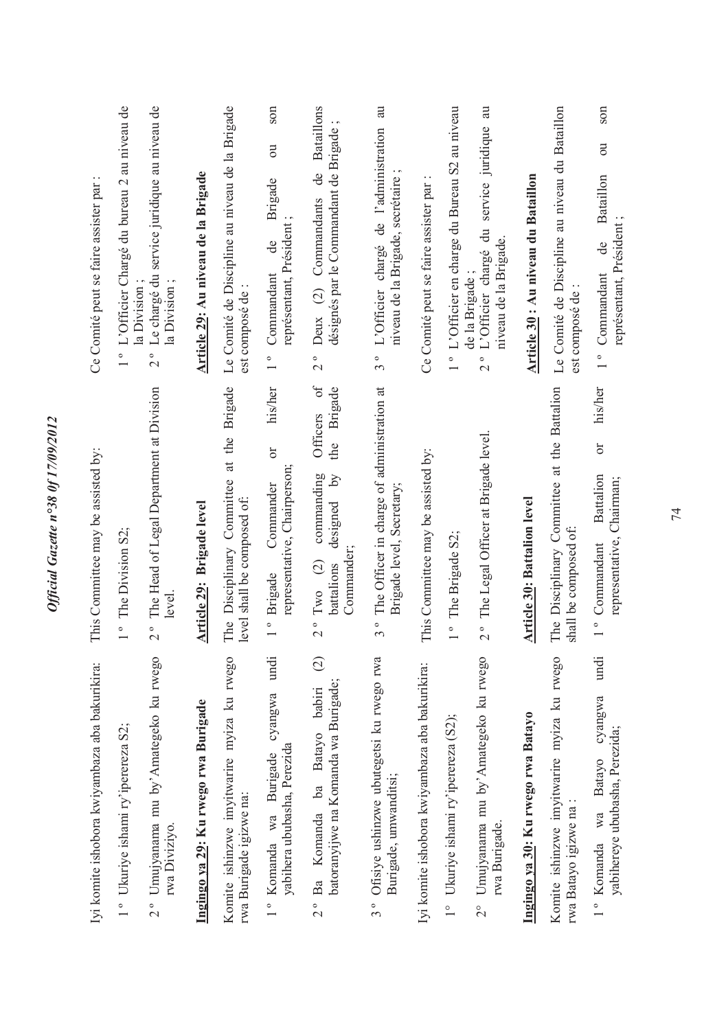| Iyi komite ishobora kwiyambaza aba bakurikira:                                                   | This Committee may be assisted by:                                                                                  | Ce Comité peut se faire assister par                                                                                            |
|--------------------------------------------------------------------------------------------------|---------------------------------------------------------------------------------------------------------------------|---------------------------------------------------------------------------------------------------------------------------------|
| 1° Ukuriye ishami ry'iperereza S2;                                                               | 1° The Division S2;                                                                                                 | L'Officier Chargé du bureau 2 au niveau de                                                                                      |
| 2° Umujyanama mu by'Amategeko ku rwego<br>rwa Diviziyo.                                          | 2° The Head of Legal Department at Division<br>level                                                                | Le chargé du service juridique au niveau de<br>la Division;<br>la Division<br>$\frac{1}{2}$                                     |
| Ingingo ya 29: Ku rwego rwa Burigade                                                             | Article 29: Brigade level                                                                                           | Article 29: Au niveau de la Brigade                                                                                             |
| Komite ishinzwe imyitwarire myiza ku rwego<br>rwa Burigade igizwe na:                            | The Disciplinary Committee at the Brigade<br>level shall be composed of:                                            | Le Comité de Discipline au niveau de la Brigade<br>est composé de                                                               |
| undi<br>cyangwa<br>yabihera ububasha, Perezida<br>1º Komanda wa Burigade                         | his/her<br>$\overline{C}$<br>representative, Chairperson;<br>Commander<br>1° Brigade                                | son<br>$\overline{5}$<br>Brigade<br>représentant, Président;<br>de<br>Commandant<br>$\overline{1}$                              |
| $\odot$<br>batoranyijwe na Komanda wa Burigade;<br>babiri<br>Komanda ba Batayo<br>$2^{\circ}$ Ba | $\sigma$ f<br>Brigade<br>Officers<br>the<br>commanding<br>designed by<br>Commander;<br>$2°$ Two $(2)$<br>battalions | <b>Bataillons</b><br>désignés par le Commandant de Brigade<br>de<br>Deux (2) Commandants<br>$\circ$<br>$\overline{\mathcal{C}}$ |
| Ofisiye ushinzwe ubutegetsi ku rwego rwa<br>Burigade, umwanditsi;<br>$3^{\circ}$                 | The Officer in charge of administration at<br>Brigade level, Secretary;<br>$\frac{1}{3}$                            | $\overline{a}$<br>L'Officier chargé de l'administration<br>niveau de la Brigade, secrétaire<br>$\circ$<br>$\infty$              |
| Iyi komite ishobora kwiyambaza aba bakurikira:                                                   | This Committee may be assisted by:                                                                                  | Ce Comité peut se faire assister par                                                                                            |
| 1° Ukuriye ishami ry'iperereza (S2);                                                             | 1° The Brigade S2;                                                                                                  | L'Officier en charge du Bureau S2 au niveau                                                                                     |
| Umujyanama mu by'Amategeko ku rwego<br>rwa Burigade.<br>$\frac{1}{2}$                            | 2° The Legal Officer at Brigade level                                                                               | au<br>service juridique<br>L'Officier chargé du<br>niveau de la Brigade.<br>de la Brigade<br>$\frac{1}{2}$                      |
| Ingingo ya 30: Ku rwego rwa Batayo                                                               | <b>Article 30: Battalion level</b>                                                                                  | Article 30: Au niveau du Bataillon                                                                                              |
| Komite ishinzwe imyitwarire myiza ku rwego<br>rwa Batayo igizwe na                               | The Disciplinary Committee at the Battalion<br>shall be composed of:                                                | Le Comité de Discipline au niveau du Bataillon<br>est composé de                                                                |
| undi<br>cyangwa<br>yabihereye ububasha, Perezida;<br>Batayo<br>wa<br>1° Komanda                  | his/her<br>ðľ<br>Battalion<br>representative, Chairman;<br>1° Commandant                                            | son<br>$\overline{\mathrm{c}}$<br>Bataillon<br>représentant, Président;<br>de<br>Commandant<br>$\frac{1}{\sqrt{2}}$             |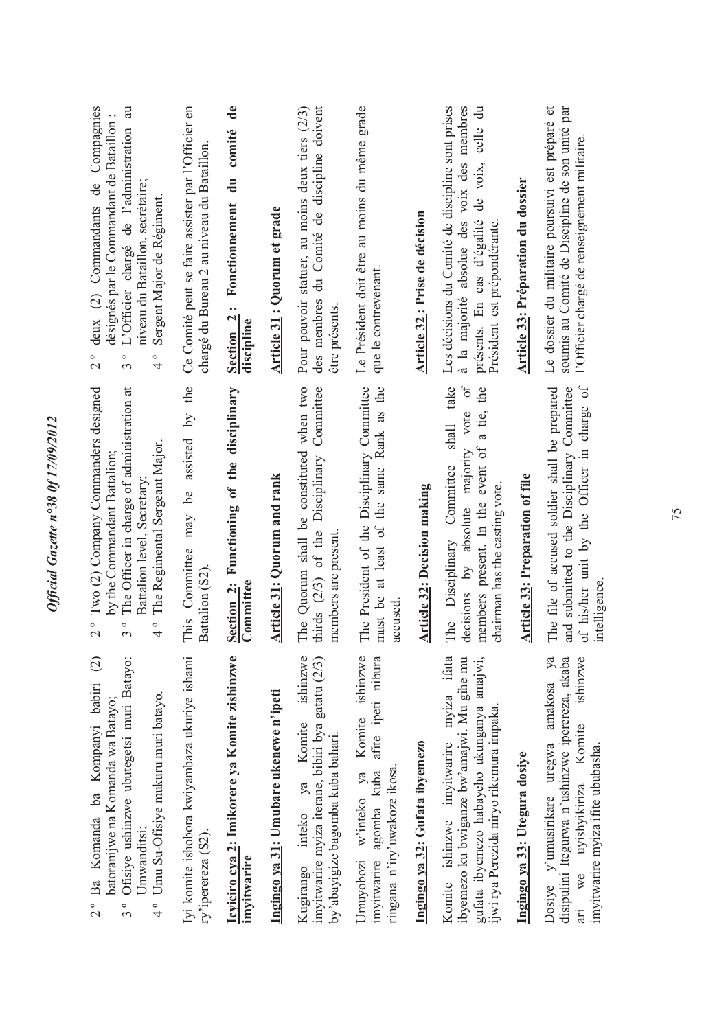| Ba Komanda ba Kompanyi babiri (2)<br>Ofisiye ushinzwe ubutegetsi muri Batayo:<br>Umu Su-Ofisiye mukuru muri batayo.<br>batoranijwe na Komanda wa Batayo;<br>Umwanditsi:<br>$\frac{1}{2}$<br>$\frac{1}{4}$<br>$3^{\circ}$ | Two (2) Company Commanders designed<br>The Officer in charge of administration at<br>The Regimental Sergeant Major.<br>by the Commandant Battalion<br>Battalion level, Secretary<br>$\frac{1}{2}$<br>$\circ$<br>$\circ$<br>3<br>4 | deux (2) Commandants de Compagnies<br>au<br>désignés par le Commandant de Bataillon;<br>L'Officier chargé de l'administration<br>niveau du Bataillon, secrétaire;<br>Sergent Major de Régiment.<br>$\circ$<br>$\circ$<br>$\circ$<br>$\overline{\mathcal{C}}$<br>$\epsilon$<br>4 |
|--------------------------------------------------------------------------------------------------------------------------------------------------------------------------------------------------------------------------|-----------------------------------------------------------------------------------------------------------------------------------------------------------------------------------------------------------------------------------|---------------------------------------------------------------------------------------------------------------------------------------------------------------------------------------------------------------------------------------------------------------------------------|
| Iyi komite ishobora kwiyambaza ukuriye ishami<br>ry'iperereza (S2)                                                                                                                                                       | the<br>assisted by<br>This Committee may be<br>Battalion (S2)                                                                                                                                                                     | Ce Comité peut se faire assister par l'Officier en<br>chargé du Bureau 2 au niveau du Bataillon                                                                                                                                                                                 |
| Icyiciro cya 2: Imikorere ya Komite zishinzwe<br>imyitwarire                                                                                                                                                             | Section 2: Functioning of the disciplinary<br>Committee                                                                                                                                                                           | comité de<br>Fonctionnement du<br>$Section 2$ :<br>discipline                                                                                                                                                                                                                   |
| Ingingo ya 31: Umubare ukenewe n'ipeti                                                                                                                                                                                   | Article 31: Quorum and rank                                                                                                                                                                                                       | Article 31 : Quorum et grade                                                                                                                                                                                                                                                    |
| Kugirango inteko ya Komite ishinzwe<br>imyitwarire myiza iterane, bibiri bya gatatu (2/3)<br>by'abayigize bagomba kuba bahari.                                                                                           | when two<br>Committee<br>The Quorum shall be constituted<br>Disciplinary<br>thirds $(2/3)$ of the<br>members are present                                                                                                          | des membres du Comité de discipline doivent<br>Pour pouvoir statuer, au moins deux tiers (2/3)<br>être présents                                                                                                                                                                 |
| w'inteko ya Komite ishinzwe<br>agomba kuba afite ipeti nibura<br>ringana n'iry'uwakoze ikosa.<br>imyitwarire<br>Umuyobozi                                                                                                | The President of the Disciplinary Committee<br>must be at least of the same Rank as the<br>accused                                                                                                                                | Le Président doit être au moins du même grade<br>que le contrevenant                                                                                                                                                                                                            |
| Ingingo ya 32: Gufata ibyemezo                                                                                                                                                                                           | Article 32: Decision making                                                                                                                                                                                                       | Article 32 : Prise de décision                                                                                                                                                                                                                                                  |
| Komite ishinzwe imyitwarire myiza ifata<br>gufata ibyemezo habayeho ukunganya amajwi,<br>ibyemezo ku bwiganze bw'amajwi. Mu gihe mu<br>ijwi rya Perezida niryo rikemura impaka                                           | take<br>$\sigma$<br>the<br>a tie,<br>vote<br>shall<br>members present. In the event of<br>decisions by absolute majority<br>The Disciplinary Committee<br>chairman has the casting vote.                                          | Les décisions du Comité de discipline sont prises<br>à la majorité absolue des voix des membres<br>celle du<br>de voix,<br>présents. En cas d'égalité<br>Président est prépondérante                                                                                            |
| Ingingo ya 33: Utegura dosiye                                                                                                                                                                                            | Article 33: Preparation of file                                                                                                                                                                                                   | Article 33: Préparation du dossier                                                                                                                                                                                                                                              |
| disipulini Itegurwa n'ushinzwe iperereza, akaba<br>amakosa ya<br>ishinzwe<br>we uyishyikiriza Komite<br>Dosiye y'umusirikare uregwa<br>imyitwarire myiza ifite ububasha.                                                 | of his/her unit by the Officer in charge of<br>and submitted to the Disciplinary Committee<br>The file of accused soldier shall be prepared<br>intelligence                                                                       | Le dossier du militaire poursuivi est préparé et<br>soumis au Comité de Discipline de son unité par<br>l'Officier chargé de renseignement militaire.                                                                                                                            |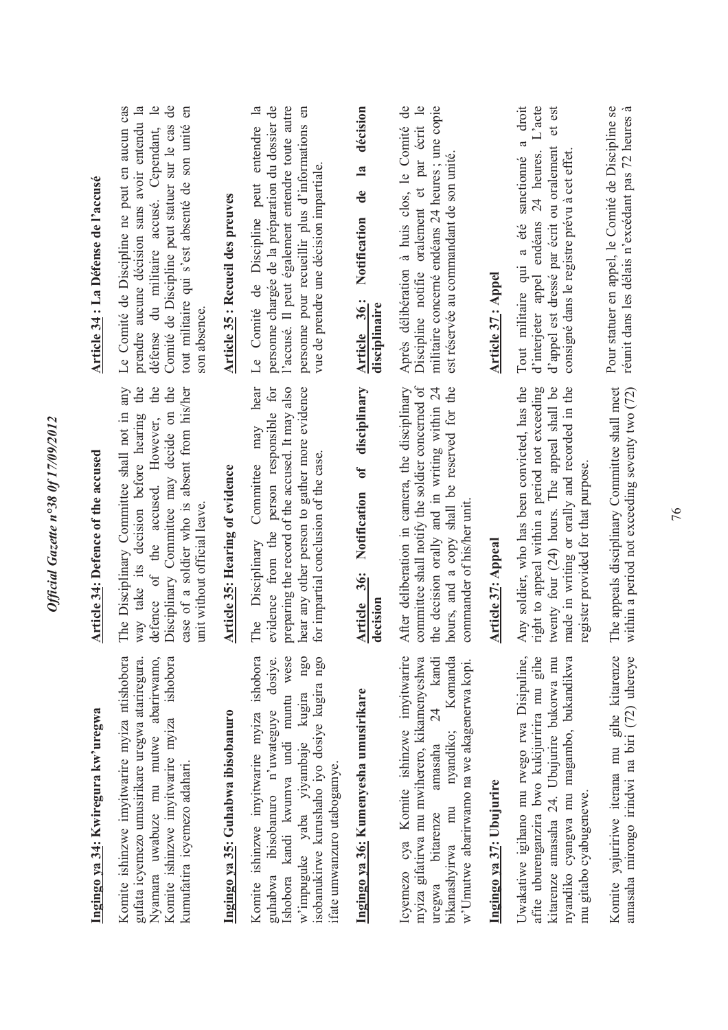| Ingingo ya 34: Kwiregura kw'uregwa                                                                                                                                                                                                                          | Article 34: Defence of the accused                                                                                                                                                                                                                                   | Article 34 : La Défense de l'accusé                                                                                                                                                                                                                                                              |
|-------------------------------------------------------------------------------------------------------------------------------------------------------------------------------------------------------------------------------------------------------------|----------------------------------------------------------------------------------------------------------------------------------------------------------------------------------------------------------------------------------------------------------------------|--------------------------------------------------------------------------------------------------------------------------------------------------------------------------------------------------------------------------------------------------------------------------------------------------|
| Komite ishinzwe imyitwarire myiza ntishobora<br>Nyamara uwabuze mu mutwe abarirwamo,<br>Komite ishinzwe imyitwarire myiza ishobora<br>gufata icyemezo umusirikare uregwa atariregura.<br>kumufatira icyemezo adahari.                                       | the<br>the<br>Disciplinary Committee may decide on the<br>case of a soldier who is absent from his/her<br>any<br>The Disciplinary Committee shall not in<br>way take its decision before hearing<br>defence of the accused. However,<br>unit without official leave. | Le Comité de Discipline ne peut en aucun cas<br>prendre aucune décision sans avoir entendu la<br>$\overline{\phantom{a}}$<br>de<br>en<br>Comité de Discipline peut statuer sur le cas<br>tout militaire qui s'est absenté de son unité<br>défense du militaire accusé. Cependant,<br>son absence |
| Ingingo ya 35: Guhabwa ibisobanuro                                                                                                                                                                                                                          | Article 35: Hearing of evidence                                                                                                                                                                                                                                      | Article 35 : Recueil des preuves                                                                                                                                                                                                                                                                 |
| Komite ishinzwe imyitwarire myiza ishobora<br>Ishobora kandi kwumva undi muntu wese<br>ngo<br>isobanukirwe kurushaho iyo dosiye kugira ngo<br>dosiye.<br>w'impuguke yaba yiyambaje kugira<br>guhabwa ibisobanuro n'uwateguye<br>ifate umwanzuro utabogamye. | hear<br>evidence from the person responsible for<br>preparing the record of the accused. It may also<br>hear any other person to gather more evidence<br>may<br>for impartial conclusion of the case.<br>Committee<br>The Disciplinary                               | entendre la<br>personne chargée de la préparation du dossier de<br>l'accusé. Il peut également entendre toute autre<br>personne pour recueillir plus d'informations en<br>vue de prendre une décision impartiale.<br>Le Comité de Discipline peut                                                |
| Ingingo ya 36: Kumenyesha umusirikare                                                                                                                                                                                                                       | disciplinary<br>$\mathbf{f}$<br>Notification<br>Article 36:<br>decision                                                                                                                                                                                              | décision<br>$\overline{\mathbf{a}}$<br>de<br>Notification<br>Article 36:<br>disciplinaire                                                                                                                                                                                                        |
| Icyemezo cya Komite ishinzwe imyitwarire<br>myiza gifatirwa mu mwiherero, kikamenyeshwa<br>24 kandi<br>Komanda<br>w'Umutwe abarirwamo na we akagenerwa kopi.<br>nyandiko;<br>amasaha<br>bitarenze<br>bikanashyirwa mu<br>uregwa                             | committee shall notify the soldier concerned of<br>hours, and a copy shall be reserved for the<br>After deliberation in camera, the disciplinary<br>the decision orally and in writing within 24<br>commander of his/her unit.                                       | militaire concerné endéans 24 heures ; une copie<br>$\mathbf{d}\mathbf{e}$<br>Discipline notifie oralement et par écrit le<br>Après délibération à huis clos, le Comité<br>est réservée au commandant de son unité.                                                                              |
| Ingingo ya 37: Ubujurire                                                                                                                                                                                                                                    | Article 37: Appeal                                                                                                                                                                                                                                                   | Article 37: Appel                                                                                                                                                                                                                                                                                |
| gihe<br>Uwakatiwe igihano mu rwego rwa Disipuline,<br>kitarenze amasaha 24. Ubujurire bukorwa mu<br>nyandiko cyangwa mu magambo, bukandikwa<br>afite uburenganzira bwo kukijuririra mu<br>mu gitabo cyabugenewe.                                            | Any soldier, who has been convicted, has the<br>right to appeal within a period not exceeding<br>twenty four (24) hours. The appeal shall be<br>made in writing or orally and recorded in the<br>register provided for that purpose.                                 | droit<br>$L'$ acte<br>et est<br>$\mathfrak{a}$<br>d'appel est dressé par écrit ou oralement<br>24 heures.<br>consigné dans le registre prévu à cet effet.<br>sanctionné<br>d'interjeter appel endéans<br>Tout militaire qui a été                                                                |
| Komite yajuririwe iterana mu gihe kitarenze<br>amasaha mirongo irindwi na biri (72) uhereye                                                                                                                                                                 | The appeals disciplinary Committee shall meet<br>within a period not exceeding seventy two (72)                                                                                                                                                                      | Pour statuer en appel, le Comité de Discipline se<br>réunit dans les délais n'excédant pas 72 heures à                                                                                                                                                                                           |

Official Gazette n°38 0f 17/09/2012

# **Ingingo ya 36: Kumenyesha umusirikare**

## **Ingingo ya 37: Ubujurire**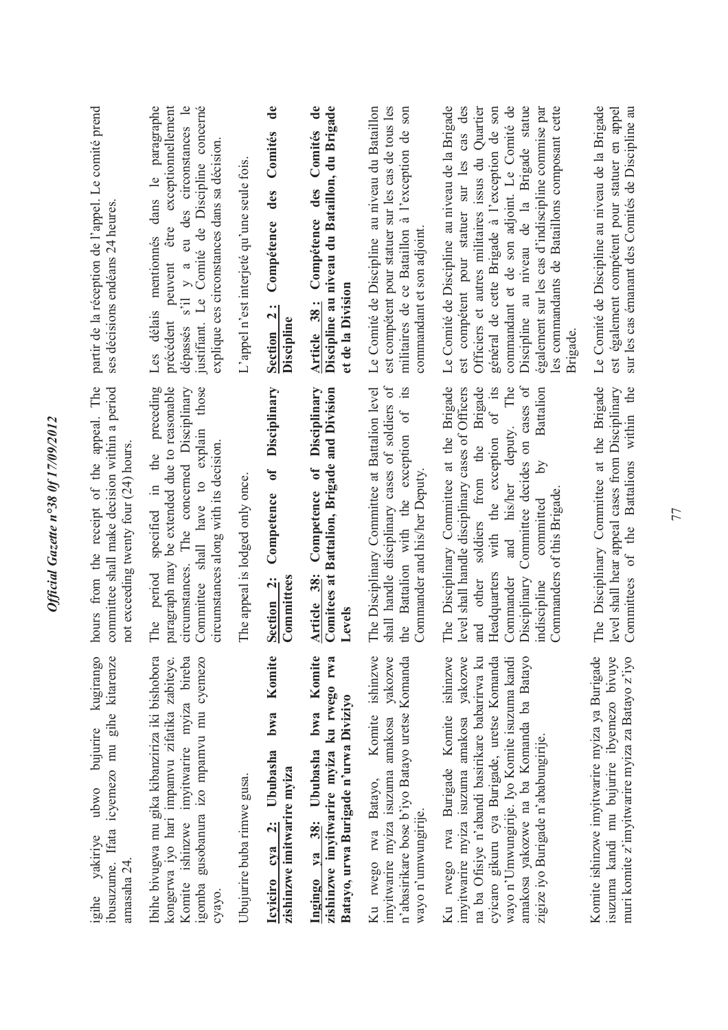| partir de la réception de l'appel. Le comité prend<br>ses décisions endéans 24 heures.                                                 | peuvent être exceptionnellement<br>paragraphe<br>dépassés s'il y a eu des circonstances le<br>justifiant. Le Comité de Discipline concerné<br>explique ces circonstances dans sa décision.<br>mentionnés dans le<br>Les délais<br>précédent | L'appel n'est interjeté qu'une seule fois | de<br>Comités<br>des<br>Compétence<br>Section 2:<br>Discipline          | Comités de<br>Discipline au niveau du Bataillon, du Brigade<br>des<br>Compétence<br>et de la Division<br>Article 38:    | Le Comité de Discipline au niveau du Bataillon<br>est compétent pour statuer sur les cas de tous les<br>militaires de ce Bataillon à l'exception de son<br>commandant et son adjoint.                | Discipline au niveau de la Brigade statue<br>Le Comité de Discipline au niveau de la Brigade<br>des<br>Officiers et autres militaires issus du Quartier<br>général de cette Brigade à l'exception de son<br>commandant et de son adjoint. Le Comité de<br>également sur les cas d'indiscipline commise par<br>les commandants de Bataillons composant cette<br>est compétent pour statuer sur les cas<br>Brigade | Le Comité de Discipline au niveau de la Brigade<br>sur les cas émanant des Comités de Discipline au<br>est également compétent pour statuer en appel |
|----------------------------------------------------------------------------------------------------------------------------------------|---------------------------------------------------------------------------------------------------------------------------------------------------------------------------------------------------------------------------------------------|-------------------------------------------|-------------------------------------------------------------------------|-------------------------------------------------------------------------------------------------------------------------|------------------------------------------------------------------------------------------------------------------------------------------------------------------------------------------------------|------------------------------------------------------------------------------------------------------------------------------------------------------------------------------------------------------------------------------------------------------------------------------------------------------------------------------------------------------------------------------------------------------------------|------------------------------------------------------------------------------------------------------------------------------------------------------|
| from the receipt of the appeal. The<br>committee shall make decision within a period<br>not exceeding twenty four (24) hours.<br>hours | preceding<br>paragraph may be extended due to reasonable<br>circumstances. The concerned Disciplinary<br>those<br>Committee shall have to explain<br>circumstances along with its decision.<br>specified in the<br>period<br>The            | The appeal is lodged only once.           | Disciplinary<br>$\delta$<br>Competence<br>Committees<br>Section 2:      | Disciplinary<br>Comitees at Battalion, Brigade and Division<br>Competence of<br>Article 38:<br>Levels                   | shall handle disciplinary cases of soldiers of<br>its<br>The Disciplinary Committee at Battalion level<br>Battalion with the exception of<br>Commander and his/her Deputy<br>$\overline{\text{the}}$ | Committee decides on cases of<br>The Disciplinary Committee at the Brigade<br>Brigade<br>deputy. The<br>of its<br>level shall handle disciplinary cases of Officers<br><b>Battalion</b><br>with the exception<br>soldiers from the<br>Σq<br>his/her<br>Commanders of this Brigade.<br>committed<br>and<br>Headquarters<br>Commander<br>Disciplinary<br>other<br>indiscipline<br>and                              | The Disciplinary Committee at the Brigade<br>within the<br>level shall hear appeal cases from Disciplinary<br><b>Battalions</b><br>Committees of the |
| ibusuzume. Ifata icyemezo mu gihe kitarenze<br>kugirango<br>ubwo bujurire<br>igihe yakiriye<br>amasaha 24.                             | Komite ishinzwe imvitwarire mviza bireba<br>gusobanura izo mpamvu mu cyemezo<br>Ibihe bivugwa mu gika kibanziriza iki bishobora<br>kongerwa iyo hari impamvu zifatika zabiteye.<br>igomba<br>суауо.                                         | Ubujurire buba rimwe gusa.                | Komite<br>bwa<br>Icyiciro cya 2: Ububasha<br>zishinzwe imitwarire myiza | Ingingo ya 38: Ububasha bwa Komite<br>zishinzwe imyitwarire myiza ku rwego rwa<br>Batayo, urwa Burigade n'urwa Diviziyo | Komite ishinzwe<br>imyitwarire myiza isuzuma amakosa yakozwe<br>n'abasirikare bose b'iyo Batayo uretse Komanda<br>Ku rwego rwa Batayo,<br>wayo n'umwungirije.                                        | na ba Ofisiye n'abandi basirikare babarirwa ku<br>ishinzwe<br>yakozwe<br>cyicaro gikuru cya Burigade, uretse Komanda<br>wayo n'Umwungirije. Iyo Komite isuzuma kandi<br>amakosa yakozwe na ba Komanda ba Batayo<br>imyitwarire myiza isuzuma amakosa<br>Ku rwego rwa Burigade Komite<br>zigize iyo Burigade n'ababungirije.                                                                                      | Komite ishinzwe imyitwarire myiza ya Burigade<br>isuzuma kandi mu bujurire ibyemezo bivuye<br>muri komite z'imyitwarire myiza za Batayo z'iyo        |

Official Gazette nº38 0f 17/09/2012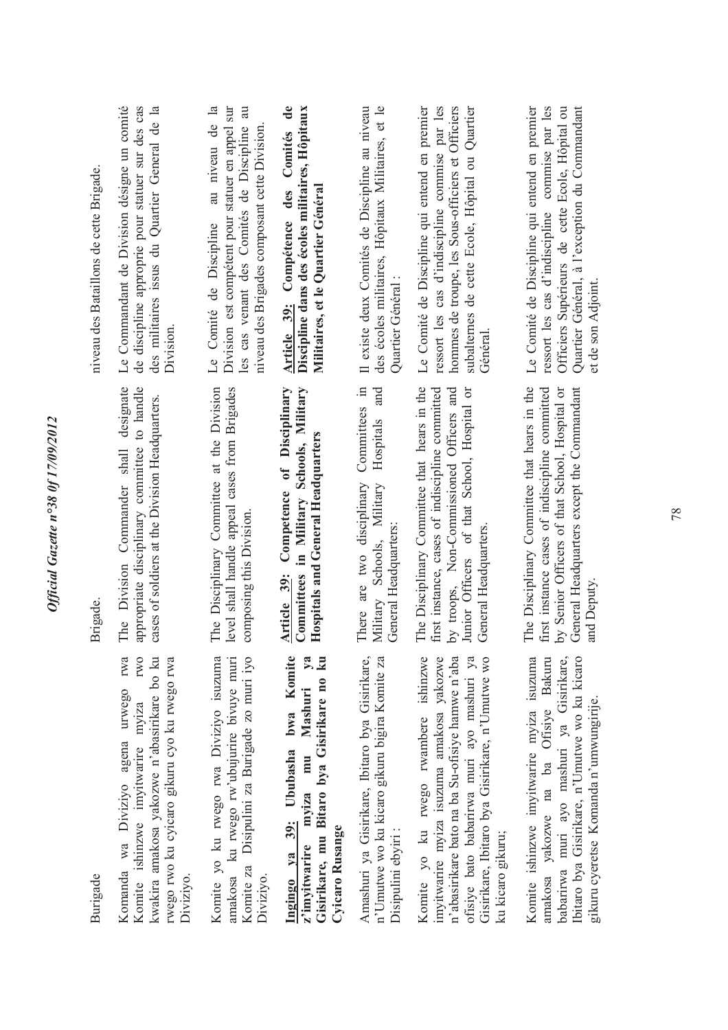| niveau des Bataillons de cette Brigade. | Le Commandant de Division désigne un comité<br>de discipline approprie pour statuer sur des cas<br>des militaires issus du Quartier General de la<br>Division                                       | $\mathbf{a}$<br>Division est compétent pour statuer en appel sur<br>les cas venant des Comités de Discipline au<br>au niveau de<br>niveau des Brigades composant cette Division<br>Le Comité de Discipline | $\mathbf{d}\mathbf{e}$<br>Discipline dans des écoles militaires, Hôpitaux<br>des Comités<br>Militaires, et le Quartier Général<br>Article 39: Compétence | Il existe deux Comités de Discipline au niveau<br>des écoles militaires, Hôpitaux Militaires, et le<br>Quartier Général : | Le Comité de Discipline qui entend en premier<br>ressort les cas d'indiscipline commise par les<br>hommes de troupe, les Sous-officiers et Officiers<br>subalternes de cette Ecole, Hôpital ou Quartier<br>Général                                         | Le Comité de Discipline qui entend en premier<br>ressort les cas d'indiscipline commise par les<br>Quartier Général, à l'exception du Commandant<br>Officiers Supérieurs de cette Ecole, Hôpital ou<br>et de son Adjoint  |
|-----------------------------------------|-----------------------------------------------------------------------------------------------------------------------------------------------------------------------------------------------------|------------------------------------------------------------------------------------------------------------------------------------------------------------------------------------------------------------|----------------------------------------------------------------------------------------------------------------------------------------------------------|---------------------------------------------------------------------------------------------------------------------------|------------------------------------------------------------------------------------------------------------------------------------------------------------------------------------------------------------------------------------------------------------|---------------------------------------------------------------------------------------------------------------------------------------------------------------------------------------------------------------------------|
| Brigade.                                | designate<br>appropriate disciplinary committee to handle<br>cases of soldiers at the Division Headquarters<br>Commander shall<br>The Division                                                      | level shall handle appeal cases from Brigades<br>The Disciplinary Committee at the Division<br>composing this Division                                                                                     | Competence of Disciplinary<br>Committees in Military Schools, Military<br><b>Hospitals and General Headquarters</b><br>Article 39:                       | Committees in<br>and<br>Hospitals<br>There are two disciplinary<br>Schools, Military<br>General Headquarters<br>Military  | The Disciplinary Committee that hears in the<br>first instance, cases of indiscipline committed<br>by troops, Non-Commissioned Officers and<br>Junior Officers of that School, Hospital or<br>General Headquarters                                         | The Disciplinary Committee that hears in the<br>General Headquarters except the Commandant<br>first instance cases of indiscipline committed<br>by Senior Officers of that School, Hospital or<br>and Deputy              |
| Burigade                                | Komanda wa Diviziyo agena urwego rwa<br>rwego rwo ku cyicaro gikuru cyo ku rwego rwa<br><b>IWO</b><br>kwakira amakosa yakozwe n'abasirikare bo ku<br>Komite ishinzwe imyitwarire myiza<br>Diviziyo. | Komite za Disipulini za Burigade zo muri iyo<br>Komite yo ku rwego rwa Diviziyo isuzuma<br>amakosa ku rwego rw'ubujurire bivuye muri<br>Diviziyo.                                                          | Ingingo ya 39: Ububasha bwa Komite<br>$y$ a<br>Gisirikare, mu Bitaro bya Gisirikare no ku<br>z'imyitwarire myiza mu Mashuri<br>Cyicaro Rusange           | Amashuri ya Gisirikare, Ibitaro bya Gisirikare,<br>n'Umutwe wo ku kicaro gikuru bigira Komite za<br>Disipulini ebyiri:    | Komite yo ku rwego rwambere ishinzwe<br>ofisiye bato babarirwa muri ayo mashuri ya<br>Gisirikare, Ibitaro bya Gisirikare, n'Umutwe wo<br>imyitwarire myiza isuzuma amakosa yakozwe<br>n'abasirikare bato na ba Su-ofisiye hamwe n'aba<br>ku kicaro gikuru; | Ibitaro bya Gisirikare, n'Umutwe wo ku kicaro<br>Komite ishinzwe imyitwarire myiza isuzuma<br>amakosa yakozwe na ba Ofisiye Bakuru<br>babarirwa muri ayo mashuri ya Gisirikare,<br>gikuru cyeretse Komanda n'umwungirije. |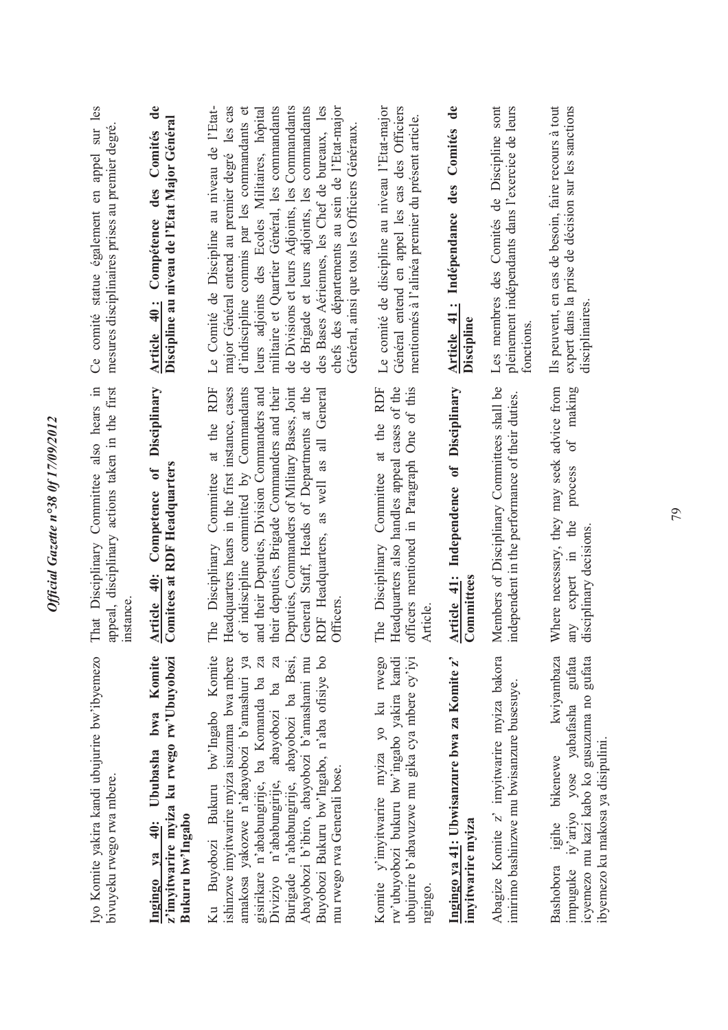| Iyo Komite yakira kandi ubujurire bw'ibyemezo<br>bivuyeku rwego rwa mbere.                                                                                                                                                                                                                                                                                                                                                               | That Disciplinary Committee also hears in<br>appeal, disciplinary actions taken in the first<br>instance                                                                                                                                                                                                                                                                                                | Ce comité statue également en appel sur les<br>mesures disciplinaires prises au premier degré                                                                                                                                                                                                                                                                                                                                                                                                             |
|------------------------------------------------------------------------------------------------------------------------------------------------------------------------------------------------------------------------------------------------------------------------------------------------------------------------------------------------------------------------------------------------------------------------------------------|---------------------------------------------------------------------------------------------------------------------------------------------------------------------------------------------------------------------------------------------------------------------------------------------------------------------------------------------------------------------------------------------------------|-----------------------------------------------------------------------------------------------------------------------------------------------------------------------------------------------------------------------------------------------------------------------------------------------------------------------------------------------------------------------------------------------------------------------------------------------------------------------------------------------------------|
| Komite<br>z'imyitwarire myiza ku rwego rw'Ubuyobozi<br>Ingingo va 40: Ububasha bwa<br>Bukuru bw'Ingabo                                                                                                                                                                                                                                                                                                                                   | Article 40: Competence of Disciplinary<br><b>Comitees at RDF Headquarters</b>                                                                                                                                                                                                                                                                                                                           | Compétence des Comités de<br>Discipline au niveau de l'Etat Major Général<br>Article 40:                                                                                                                                                                                                                                                                                                                                                                                                                  |
| Komite<br>ishinzwe imyitwarire myiza isuzuma bwa mbere<br>$\overline{5}$<br>amakosa yakozwe n'abayobozi b'amashuri ya<br>Za<br>$\mathbb{Z}$<br>Burigade n'ababungirije, abayobozi ba Besi,<br>Abayobozi b'ibiro, abayobozi b'amashami mu<br>Buyobozi Bukuru bw'Ingabo, n'aba ofisiye<br>gisirikare n'ababungirije, ba Komanda ba<br>Diviziyo n'ababungirije, abayobozi ba<br>Ku Buyobozi Bukuru bw'lngabo<br>mu rwego rwa Generali bose. | <b>RDF</b><br>Deputies, Commanders of Military Bases, Joint<br>General Staff, Heads of Departments at the<br>Headquarters hears in the first instance, cases<br>of indiscipline committed by Commandants<br>their deputies, Brigade Commanders and their<br>and their Deputies, Division Commanders and<br>RDF Headquarters, as well as all General<br>at the<br>The Disciplinary Committee<br>Officers | Le Comité de Discipline au niveau de l'Etat-<br>militaire et Quartier Général, les commandants<br>de Divisions et leurs Adjoints, les Commandants<br>des Bases Aériennes, les Chef de bureaux, les<br>major Général entend au premier degré les cas<br>de Brigade et leurs adjoints, les commandants<br>chefs des départements au sein de l'Etat-major<br>d'indiscipline commis par les commandants et<br>leurs adjoints des Ecoles Militaires, hôpital<br>Général, ainsi que tous les Officiers Généraux |
| Komite y'imyitwarire myiza yo ku rwego<br>rw'ubuyobozi bukuru bw'ingabo yakira kandi<br>ubujurire b'abavuzwe mu gika cya mbere cy'iyi<br>ngingo.                                                                                                                                                                                                                                                                                         | Headquarters also handles appeal cases of the<br>The Disciplinary Committee at the RDF<br>officers mentioned in Paragraph One of this<br>Article.                                                                                                                                                                                                                                                       | Général entend en appel les cas des Officiers<br>Le comité de discipline au niveau l'Etat-major<br>mentionnés à l'alinéa premier du présent article.                                                                                                                                                                                                                                                                                                                                                      |
| Ingingo ya 41: Ubwisanzure bwa za Komite z'<br>imyitwarire myiza                                                                                                                                                                                                                                                                                                                                                                         | Disciplinary<br>Independence of<br>Article 41:<br>Committees                                                                                                                                                                                                                                                                                                                                            | Article 41: Indépendance des Comités de<br>Discipline                                                                                                                                                                                                                                                                                                                                                                                                                                                     |
| Abagize Komite z' imyitwarire myiza bakora<br>imirimo bashinzwe mu bwisanzure busesuye.                                                                                                                                                                                                                                                                                                                                                  | Members of Disciplinary Committees shall be<br>independent in the performance of their duties.                                                                                                                                                                                                                                                                                                          | Les membres des Comités de Discipline sont<br>pleinement indépendants dans l'exercice de leurs<br>fonctions                                                                                                                                                                                                                                                                                                                                                                                               |
| impuguke iy'ariyo yose yabafasha gufata<br>icyemezo mu kazi kabo ko gusuzuma no gufata<br>kwiyambaza<br>ibyemezo ku makosa ya disipulini.<br>igihe bikenewe<br>Bashobora                                                                                                                                                                                                                                                                 | Where necessary, they may seek advice from<br>making<br>ð<br>process<br>any expert in the<br>disciplinary decisions                                                                                                                                                                                                                                                                                     | Ils peuvent, en cas de besoin, faire recours à tout<br>expert dans la prise de décision sur les sanctions<br>disciplinaires.                                                                                                                                                                                                                                                                                                                                                                              |